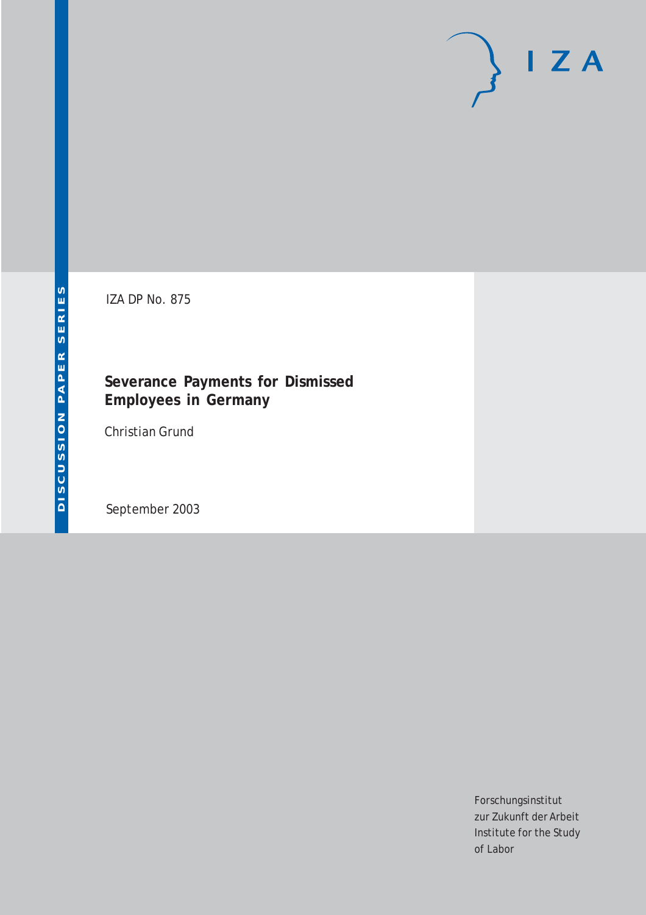# $I Z A$

IZA DP No. 875

### **Severance Payments for Dismissed Employees in Germany**

Christian Grund

September 2003

Forschungsinstitut zur Zukunft der Arbeit Institute for the Study of Labor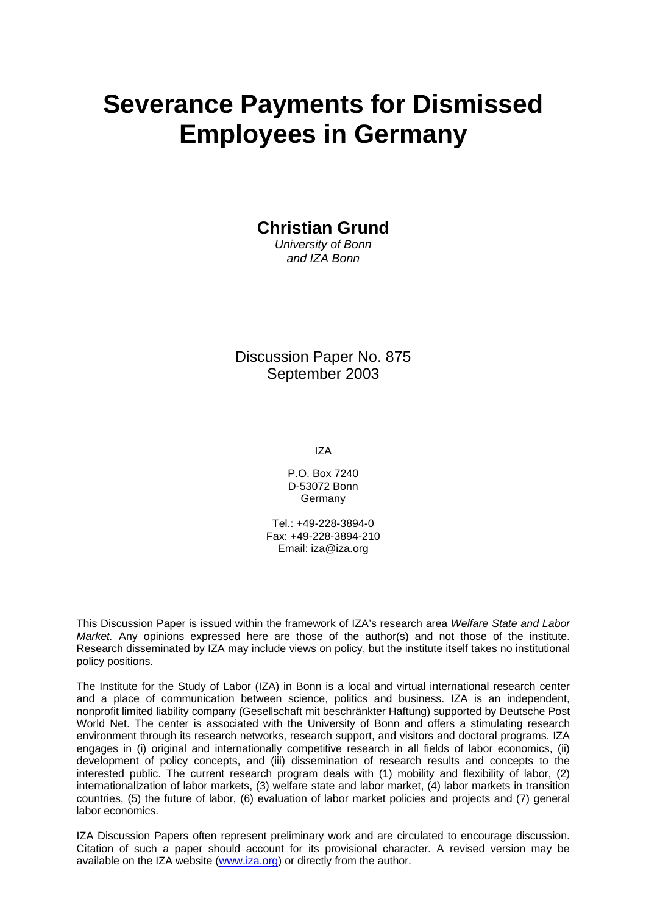# **Severance Payments for Dismissed Employees in Germany**

**Christian Grund** 

*University of Bonn and IZA Bonn* 

Discussion Paper No. 875 September 2003

IZA

P.O. Box 7240 D-53072 Bonn **Germany** 

Tel.: +49-228-3894-0 Fax: +49-228-3894-210 Email: [iza@iza.org](mailto:iza@iza.org)

This Discussion Paper is issued within the framework of IZA's research area *Welfare State and Labor Market.* Any opinions expressed here are those of the author(s) and not those of the institute. Research disseminated by IZA may include views on policy, but the institute itself takes no institutional policy positions.

The Institute for the Study of Labor (IZA) in Bonn is a local and virtual international research center and a place of communication between science, politics and business. IZA is an independent, nonprofit limited liability company (Gesellschaft mit beschränkter Haftung) supported by Deutsche Post World Net. The center is associated with the University of Bonn and offers a stimulating research environment through its research networks, research support, and visitors and doctoral programs. IZA engages in (i) original and internationally competitive research in all fields of labor economics, (ii) development of policy concepts, and (iii) dissemination of research results and concepts to the interested public. The current research program deals with (1) mobility and flexibility of labor, (2) internationalization of labor markets, (3) welfare state and labor market, (4) labor markets in transition countries, (5) the future of labor, (6) evaluation of labor market policies and projects and (7) general labor economics.

IZA Discussion Papers often represent preliminary work and are circulated to encourage discussion. Citation of such a paper should account for its provisional character. A revised version may be available on the IZA website ([www.iza.org](http://www.iza.org/)) or directly from the author.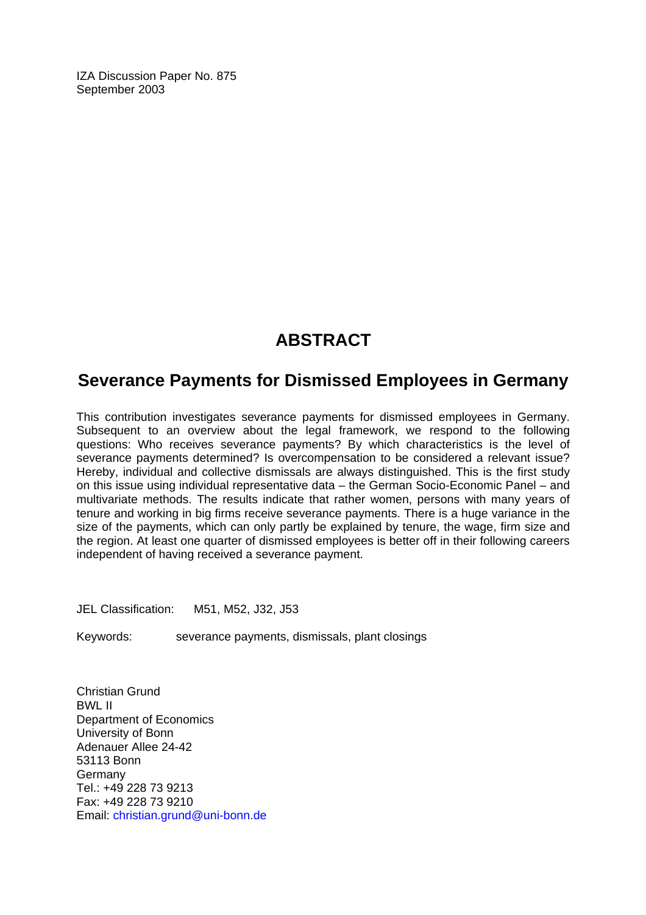IZA Discussion Paper No. 875 September 2003

## **ABSTRACT**

## **Severance Payments for Dismissed Employees in Germany**

This contribution investigates severance payments for dismissed employees in Germany. Subsequent to an overview about the legal framework, we respond to the following questions: Who receives severance payments? By which characteristics is the level of severance payments determined? Is overcompensation to be considered a relevant issue? Hereby, individual and collective dismissals are always distinguished. This is the first study on this issue using individual representative data – the German Socio-Economic Panel – and multivariate methods. The results indicate that rather women, persons with many years of tenure and working in big firms receive severance payments. There is a huge variance in the size of the payments, which can only partly be explained by tenure, the wage, firm size and the region. At least one quarter of dismissed employees is better off in their following careers independent of having received a severance payment.

JEL Classification: M51, M52, J32, J53

Keywords: severance payments, dismissals, plant closings

Christian Grund BWL II Department of Economics University of Bonn Adenauer Allee 24-42 53113 Bonn Germany Tel.: +49 228 73 9213 Fax: +49 228 73 9210 Email: [christian.grund@uni-bonn.de](mailto:christian.grund@uni-bonn.de)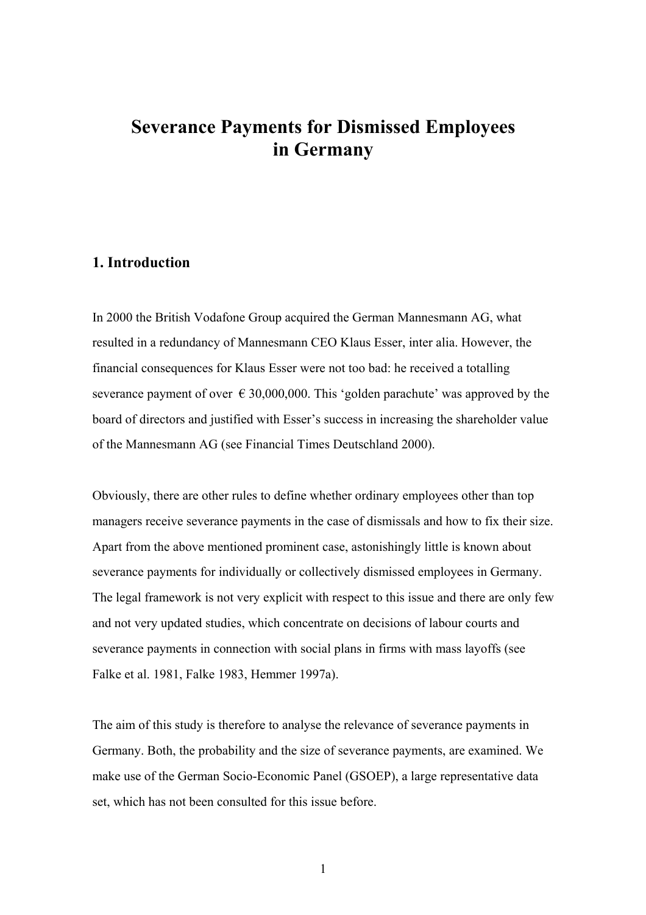## **Severance Payments for Dismissed Employees in Germany**

#### **1. Introduction**

In 2000 the British Vodafone Group acquired the German Mannesmann AG, what resulted in a redundancy of Mannesmann CEO Klaus Esser, inter alia. However, the financial consequences for Klaus Esser were not too bad: he received a totalling severance payment of over  $\epsilon$  30,000,000. This 'golden parachute' was approved by the board of directors and justified with Esser's success in increasing the shareholder value of the Mannesmann AG (see Financial Times Deutschland 2000).

Obviously, there are other rules to define whether ordinary employees other than top managers receive severance payments in the case of dismissals and how to fix their size. Apart from the above mentioned prominent case, astonishingly little is known about severance payments for individually or collectively dismissed employees in Germany. The legal framework is not very explicit with respect to this issue and there are only few and not very updated studies, which concentrate on decisions of labour courts and severance payments in connection with social plans in firms with mass layoffs (see Falke et al. 1981, Falke 1983, Hemmer 1997a).

The aim of this study is therefore to analyse the relevance of severance payments in Germany. Both, the probability and the size of severance payments, are examined. We make use of the German Socio-Economic Panel (GSOEP), a large representative data set, which has not been consulted for this issue before.

1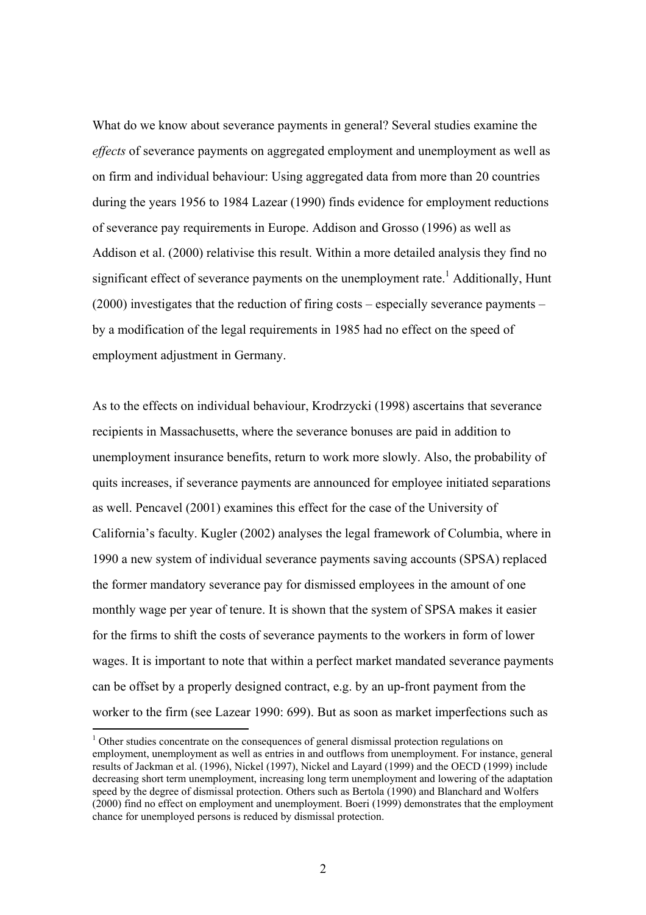What do we know about severance payments in general? Several studies examine the *effects* of severance payments on aggregated employment and unemployment as well as on firm and individual behaviour: Using aggregated data from more than 20 countries during the years 1956 to 1984 Lazear (1990) finds evidence for employment reductions of severance pay requirements in Europe. Addison and Grosso (1996) as well as Addison et al. (2000) relativise this result. Within a more detailed analysis they find no significant effect of severance payments on the unemployment rate.<sup>1</sup> Additionally, Hunt (2000) investigates that the reduction of firing costs – especially severance payments – by a modification of the legal requirements in 1985 had no effect on the speed of employment adjustment in Germany.

As to the effects on individual behaviour, Krodrzycki (1998) ascertains that severance recipients in Massachusetts, where the severance bonuses are paid in addition to unemployment insurance benefits, return to work more slowly. Also, the probability of quits increases, if severance payments are announced for employee initiated separations as well. Pencavel (2001) examines this effect for the case of the University of California's faculty. Kugler (2002) analyses the legal framework of Columbia, where in 1990 a new system of individual severance payments saving accounts (SPSA) replaced the former mandatory severance pay for dismissed employees in the amount of one monthly wage per year of tenure. It is shown that the system of SPSA makes it easier for the firms to shift the costs of severance payments to the workers in form of lower wages. It is important to note that within a perfect market mandated severance payments can be offset by a properly designed contract, e.g. by an up-front payment from the worker to the firm (see Lazear 1990: 699). But as soon as market imperfections such as

 $1$  Other studies concentrate on the consequences of general dismissal protection regulations on employment, unemployment as well as entries in and outflows from unemployment. For instance, general results of Jackman et al. (1996), Nickel (1997), Nickel and Layard (1999) and the OECD (1999) include decreasing short term unemployment, increasing long term unemployment and lowering of the adaptation speed by the degree of dismissal protection. Others such as Bertola (1990) and Blanchard and Wolfers (2000) find no effect on employment and unemployment. Boeri (1999) demonstrates that the employment chance for unemployed persons is reduced by dismissal protection.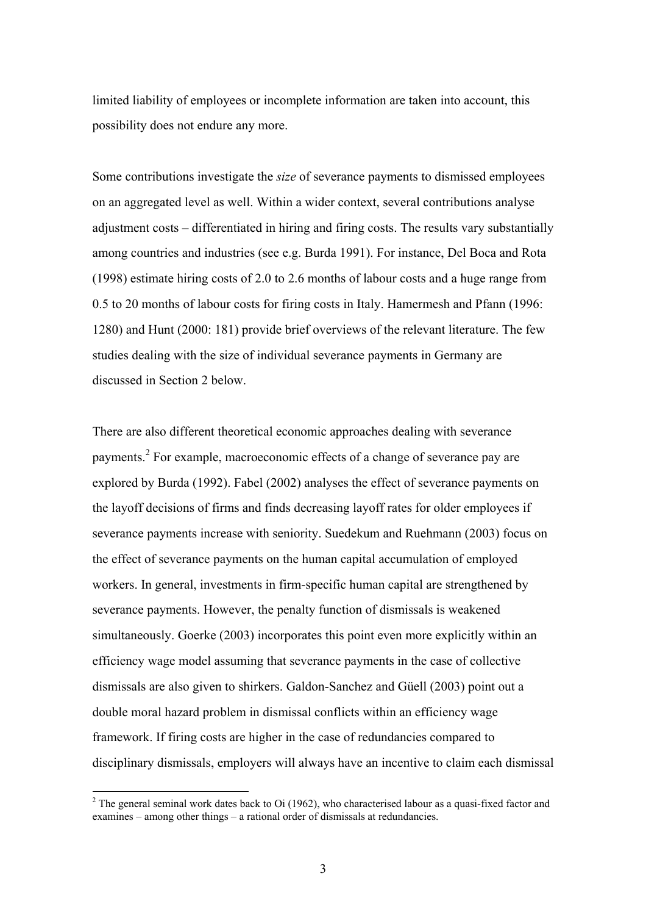limited liability of employees or incomplete information are taken into account, this possibility does not endure any more.

Some contributions investigate the *size* of severance payments to dismissed employees on an aggregated level as well. Within a wider context, several contributions analyse adjustment costs – differentiated in hiring and firing costs. The results vary substantially among countries and industries (see e.g. Burda 1991). For instance, Del Boca and Rota (1998) estimate hiring costs of 2.0 to 2.6 months of labour costs and a huge range from 0.5 to 20 months of labour costs for firing costs in Italy. Hamermesh and Pfann (1996: 1280) and Hunt (2000: 181) provide brief overviews of the relevant literature. The few studies dealing with the size of individual severance payments in Germany are discussed in Section 2 below.

There are also different theoretical economic approaches dealing with severance payments.<sup>2</sup> For example, macroeconomic effects of a change of severance pay are explored by Burda (1992). Fabel (2002) analyses the effect of severance payments on the layoff decisions of firms and finds decreasing layoff rates for older employees if severance payments increase with seniority. Suedekum and Ruehmann (2003) focus on the effect of severance payments on the human capital accumulation of employed workers. In general, investments in firm-specific human capital are strengthened by severance payments. However, the penalty function of dismissals is weakened simultaneously. Goerke (2003) incorporates this point even more explicitly within an efficiency wage model assuming that severance payments in the case of collective dismissals are also given to shirkers. Galdon-Sanchez and Güell (2003) point out a double moral hazard problem in dismissal conflicts within an efficiency wage framework. If firing costs are higher in the case of redundancies compared to disciplinary dismissals, employers will always have an incentive to claim each dismissal

<sup>&</sup>lt;sup>2</sup> The general seminal work dates back to Oi (1962), who characterised labour as a quasi-fixed factor and examines – among other things – a rational order of dismissals at redundancies.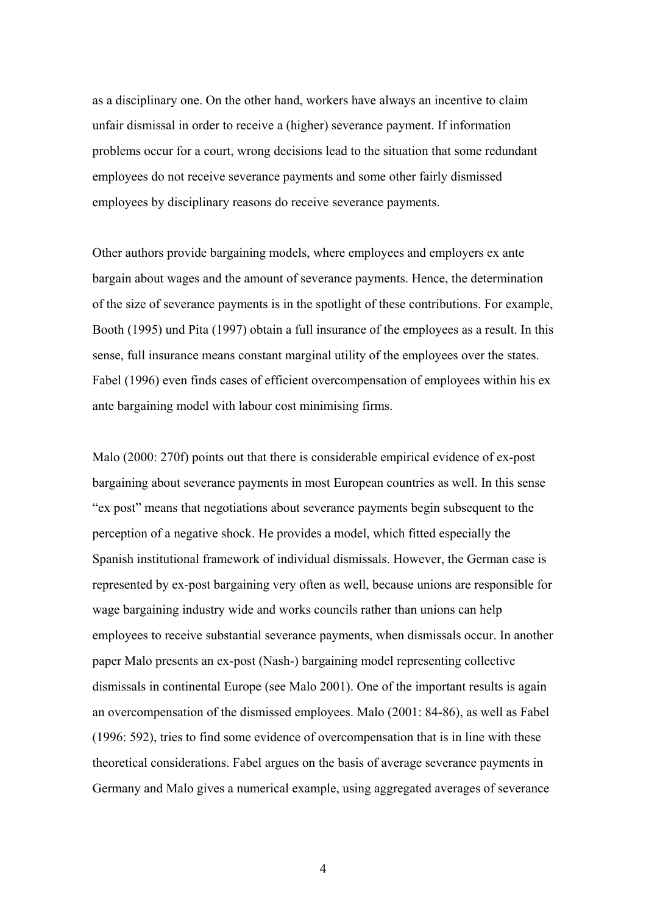as a disciplinary one. On the other hand, workers have always an incentive to claim unfair dismissal in order to receive a (higher) severance payment. If information problems occur for a court, wrong decisions lead to the situation that some redundant employees do not receive severance payments and some other fairly dismissed employees by disciplinary reasons do receive severance payments.

Other authors provide bargaining models, where employees and employers ex ante bargain about wages and the amount of severance payments. Hence, the determination of the size of severance payments is in the spotlight of these contributions. For example, Booth (1995) und Pita (1997) obtain a full insurance of the employees as a result. In this sense, full insurance means constant marginal utility of the employees over the states. Fabel (1996) even finds cases of efficient overcompensation of employees within his ex ante bargaining model with labour cost minimising firms.

Malo (2000: 270f) points out that there is considerable empirical evidence of ex-post bargaining about severance payments in most European countries as well. In this sense "ex post" means that negotiations about severance payments begin subsequent to the perception of a negative shock. He provides a model, which fitted especially the Spanish institutional framework of individual dismissals. However, the German case is represented by ex-post bargaining very often as well, because unions are responsible for wage bargaining industry wide and works councils rather than unions can help employees to receive substantial severance payments, when dismissals occur. In another paper Malo presents an ex-post (Nash-) bargaining model representing collective dismissals in continental Europe (see Malo 2001). One of the important results is again an overcompensation of the dismissed employees. Malo (2001: 84-86), as well as Fabel (1996: 592), tries to find some evidence of overcompensation that is in line with these theoretical considerations. Fabel argues on the basis of average severance payments in Germany and Malo gives a numerical example, using aggregated averages of severance

4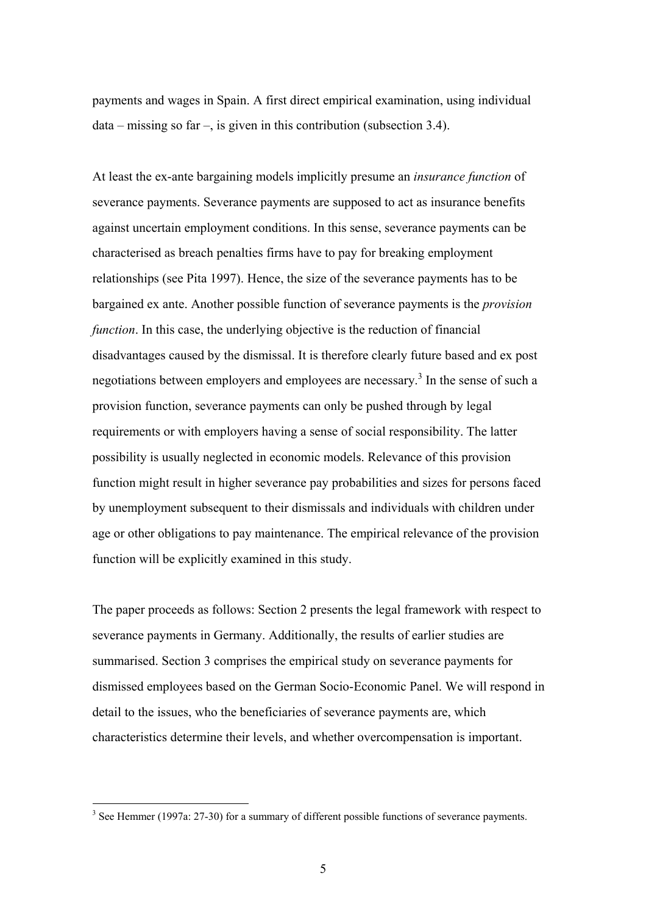payments and wages in Spain. A first direct empirical examination, using individual data – missing so far –, is given in this contribution (subsection 3.4).

At least the ex-ante bargaining models implicitly presume an *insurance function* of severance payments. Severance payments are supposed to act as insurance benefits against uncertain employment conditions. In this sense, severance payments can be characterised as breach penalties firms have to pay for breaking employment relationships (see Pita 1997). Hence, the size of the severance payments has to be bargained ex ante. Another possible function of severance payments is the *provision function*. In this case, the underlying objective is the reduction of financial disadvantages caused by the dismissal. It is therefore clearly future based and ex post negotiations between employers and employees are necessary.<sup>3</sup> In the sense of such a provision function, severance payments can only be pushed through by legal requirements or with employers having a sense of social responsibility. The latter possibility is usually neglected in economic models. Relevance of this provision function might result in higher severance pay probabilities and sizes for persons faced by unemployment subsequent to their dismissals and individuals with children under age or other obligations to pay maintenance. The empirical relevance of the provision function will be explicitly examined in this study.

The paper proceeds as follows: Section 2 presents the legal framework with respect to severance payments in Germany. Additionally, the results of earlier studies are summarised. Section 3 comprises the empirical study on severance payments for dismissed employees based on the German Socio-Economic Panel. We will respond in detail to the issues, who the beneficiaries of severance payments are, which characteristics determine their levels, and whether overcompensation is important.

 $3$  See Hemmer (1997a: 27-30) for a summary of different possible functions of severance payments.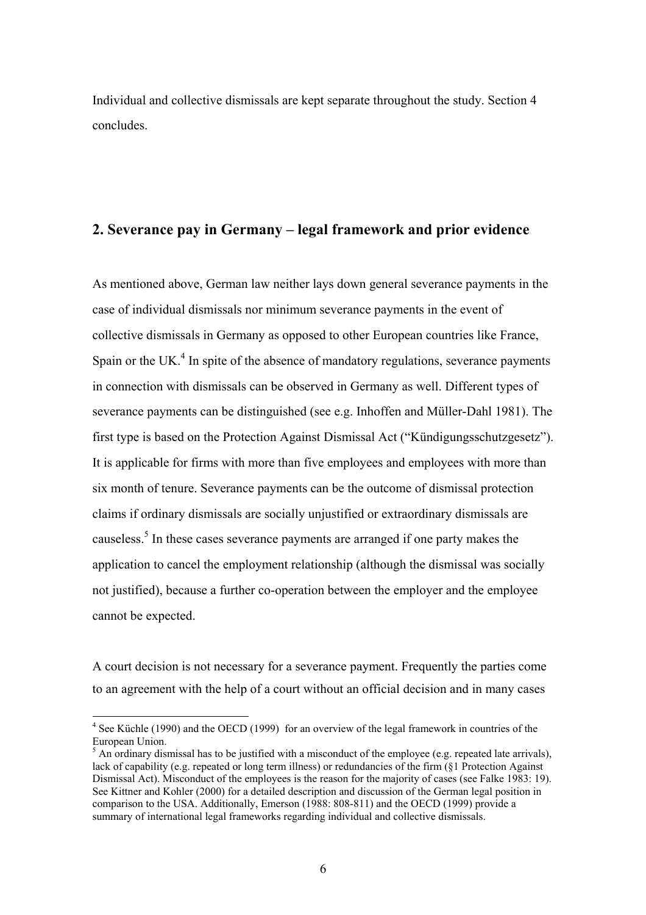Individual and collective dismissals are kept separate throughout the study. Section 4 concludes.

#### **2. Severance pay in Germany – legal framework and prior evidence**

As mentioned above, German law neither lays down general severance payments in the case of individual dismissals nor minimum severance payments in the event of collective dismissals in Germany as opposed to other European countries like France, Spain or the UK. $<sup>4</sup>$  In spite of the absence of mandatory regulations, severance payments</sup> in connection with dismissals can be observed in Germany as well. Different types of severance payments can be distinguished (see e.g. Inhoffen and Müller-Dahl 1981). The first type is based on the Protection Against Dismissal Act ("Kündigungsschutzgesetz"). It is applicable for firms with more than five employees and employees with more than six month of tenure. Severance payments can be the outcome of dismissal protection claims if ordinary dismissals are socially unjustified or extraordinary dismissals are causeless.<sup>5</sup> In these cases severance payments are arranged if one party makes the application to cancel the employment relationship (although the dismissal was socially not justified), because a further co-operation between the employer and the employee cannot be expected.

A court decision is not necessary for a severance payment. Frequently the parties come to an agreement with the help of a court without an official decision and in many cases

<sup>&</sup>lt;sup>4</sup> See Küchle (1990) and the OECD (1999) for an overview of the legal framework in countries of the European Union.

 $<sup>5</sup>$  An ordinary dismissal has to be justified with a misconduct of the employee (e.g. repeated late arrivals),</sup> lack of capability (e.g. repeated or long term illness) or redundancies of the firm (§1 Protection Against Dismissal Act). Misconduct of the employees is the reason for the majority of cases (see Falke 1983: 19). See Kittner and Kohler (2000) for a detailed description and discussion of the German legal position in comparison to the USA. Additionally, Emerson (1988: 808-811) and the OECD (1999) provide a summary of international legal frameworks regarding individual and collective dismissals.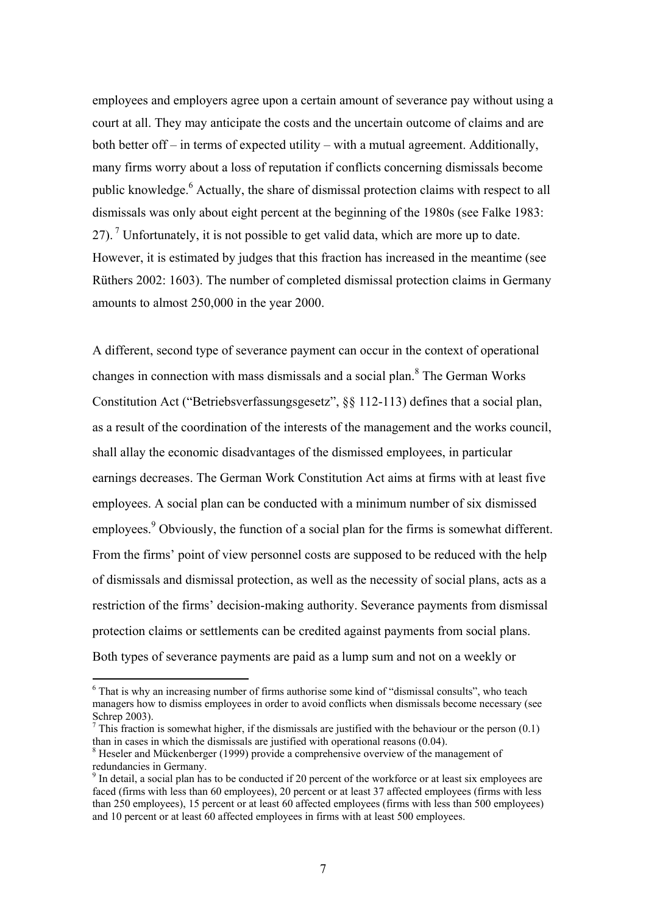employees and employers agree upon a certain amount of severance pay without using a court at all. They may anticipate the costs and the uncertain outcome of claims and are both better off – in terms of expected utility – with a mutual agreement. Additionally, many firms worry about a loss of reputation if conflicts concerning dismissals become public knowledge.<sup>6</sup> Actually, the share of dismissal protection claims with respect to all dismissals was only about eight percent at the beginning of the 1980s (see Falke 1983: 27). <sup>7</sup> Unfortunately, it is not possible to get valid data, which are more up to date. However, it is estimated by judges that this fraction has increased in the meantime (see Rüthers 2002: 1603). The number of completed dismissal protection claims in Germany amounts to almost 250,000 in the year 2000.

A different, second type of severance payment can occur in the context of operational changes in connection with mass dismissals and a social plan. $8$  The German Works Constitution Act ("Betriebsverfassungsgesetz", §§ 112-113) defines that a social plan, as a result of the coordination of the interests of the management and the works council, shall allay the economic disadvantages of the dismissed employees, in particular earnings decreases. The German Work Constitution Act aims at firms with at least five employees. A social plan can be conducted with a minimum number of six dismissed employees.<sup>9</sup> Obviously, the function of a social plan for the firms is somewhat different. From the firms' point of view personnel costs are supposed to be reduced with the help of dismissals and dismissal protection, as well as the necessity of social plans, acts as a restriction of the firms' decision-making authority. Severance payments from dismissal protection claims or settlements can be credited against payments from social plans. Both types of severance payments are paid as a lump sum and not on a weekly or

<sup>&</sup>lt;sup>6</sup> That is why an increasing number of firms authorise some kind of "dismissal consults", who teach managers how to dismiss employees in order to avoid conflicts when dismissals become necessary (see Schrep 2003).

<sup>&</sup>lt;sup>7</sup> This fraction is somewhat higher, if the dismissals are justified with the behaviour or the person  $(0.1)$ than in cases in which the dismissals are justified with operational reasons (0.04).

<sup>&</sup>lt;sup>8</sup> Heseler and Mückenberger (1999) provide a comprehensive overview of the management of redundancies in Germany.

<sup>&</sup>lt;sup>9</sup> In detail, a social plan has to be conducted if 20 percent of the workforce or at least six employees are faced (firms with less than 60 employees), 20 percent or at least 37 affected employees (firms with less than 250 employees), 15 percent or at least 60 affected employees (firms with less than 500 employees) and 10 percent or at least 60 affected employees in firms with at least 500 employees.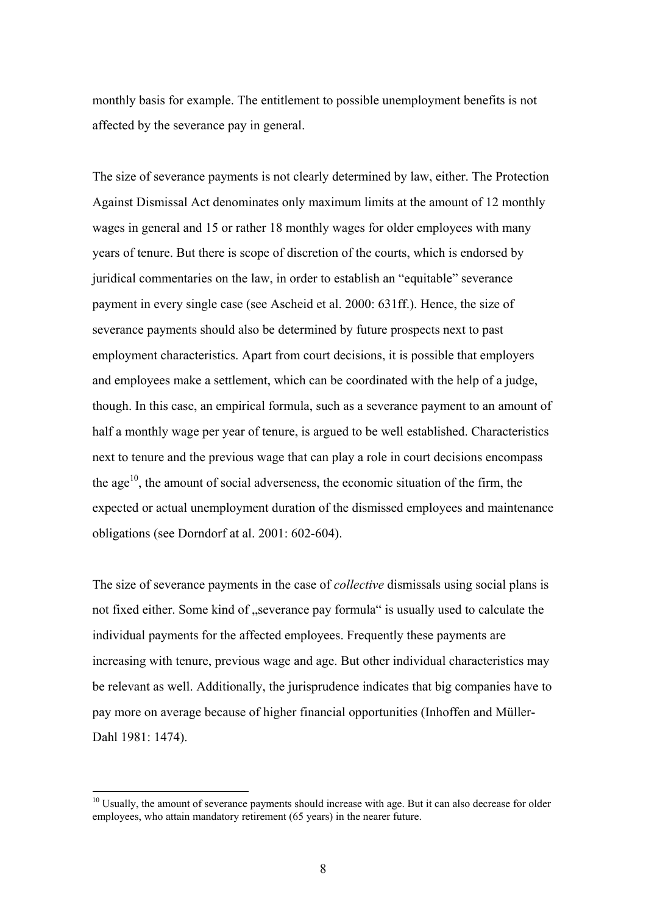monthly basis for example. The entitlement to possible unemployment benefits is not affected by the severance pay in general.

The size of severance payments is not clearly determined by law, either. The Protection Against Dismissal Act denominates only maximum limits at the amount of 12 monthly wages in general and 15 or rather 18 monthly wages for older employees with many years of tenure. But there is scope of discretion of the courts, which is endorsed by juridical commentaries on the law, in order to establish an "equitable" severance payment in every single case (see Ascheid et al. 2000: 631ff.). Hence, the size of severance payments should also be determined by future prospects next to past employment characteristics. Apart from court decisions, it is possible that employers and employees make a settlement, which can be coordinated with the help of a judge, though. In this case, an empirical formula, such as a severance payment to an amount of half a monthly wage per year of tenure, is argued to be well established. Characteristics next to tenure and the previous wage that can play a role in court decisions encompass the age<sup>10</sup>, the amount of social adverseness, the economic situation of the firm, the expected or actual unemployment duration of the dismissed employees and maintenance obligations (see Dorndorf at al. 2001: 602-604).

The size of severance payments in the case of *collective* dismissals using social plans is not fixed either. Some kind of "severance pay formula" is usually used to calculate the individual payments for the affected employees. Frequently these payments are increasing with tenure, previous wage and age. But other individual characteristics may be relevant as well. Additionally, the jurisprudence indicates that big companies have to pay more on average because of higher financial opportunities (Inhoffen and Müller-Dahl 1981: 1474).

 $10$  Usually, the amount of severance payments should increase with age. But it can also decrease for older employees, who attain mandatory retirement (65 years) in the nearer future.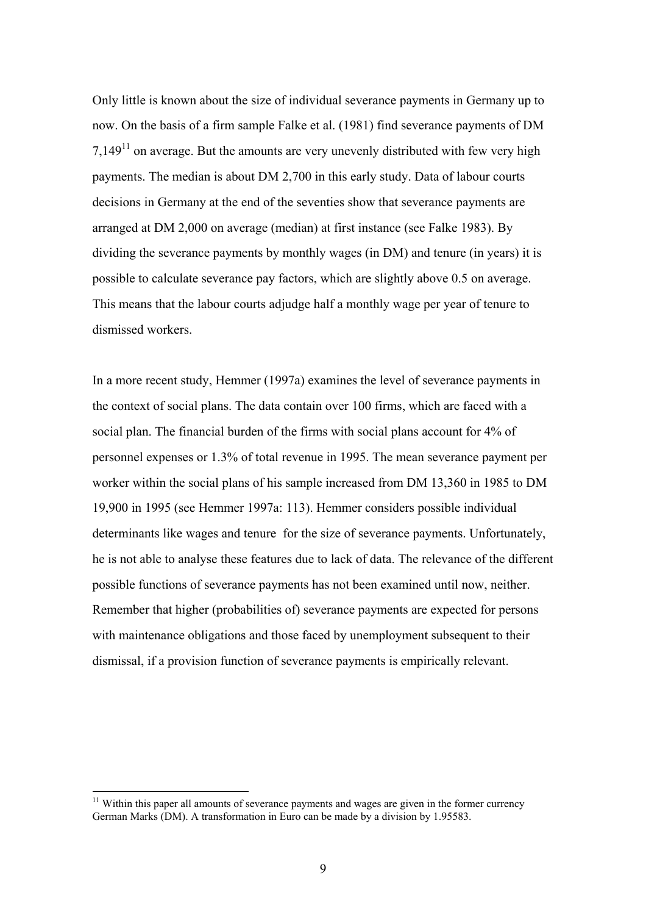Only little is known about the size of individual severance payments in Germany up to now. On the basis of a firm sample Falke et al. (1981) find severance payments of DM  $7.149<sup>11</sup>$  on average. But the amounts are very unevenly distributed with few very high payments. The median is about DM 2,700 in this early study. Data of labour courts decisions in Germany at the end of the seventies show that severance payments are arranged at DM 2,000 on average (median) at first instance (see Falke 1983). By dividing the severance payments by monthly wages (in DM) and tenure (in years) it is possible to calculate severance pay factors, which are slightly above 0.5 on average. This means that the labour courts adjudge half a monthly wage per year of tenure to dismissed workers.

In a more recent study, Hemmer (1997a) examines the level of severance payments in the context of social plans. The data contain over 100 firms, which are faced with a social plan. The financial burden of the firms with social plans account for 4% of personnel expenses or 1.3% of total revenue in 1995. The mean severance payment per worker within the social plans of his sample increased from DM 13,360 in 1985 to DM 19,900 in 1995 (see Hemmer 1997a: 113). Hemmer considers possible individual determinants like wages and tenure for the size of severance payments. Unfortunately, he is not able to analyse these features due to lack of data. The relevance of the different possible functions of severance payments has not been examined until now, neither. Remember that higher (probabilities of) severance payments are expected for persons with maintenance obligations and those faced by unemployment subsequent to their dismissal, if a provision function of severance payments is empirically relevant.

 $11$  Within this paper all amounts of severance payments and wages are given in the former currency German Marks (DM). A transformation in Euro can be made by a division by 1.95583.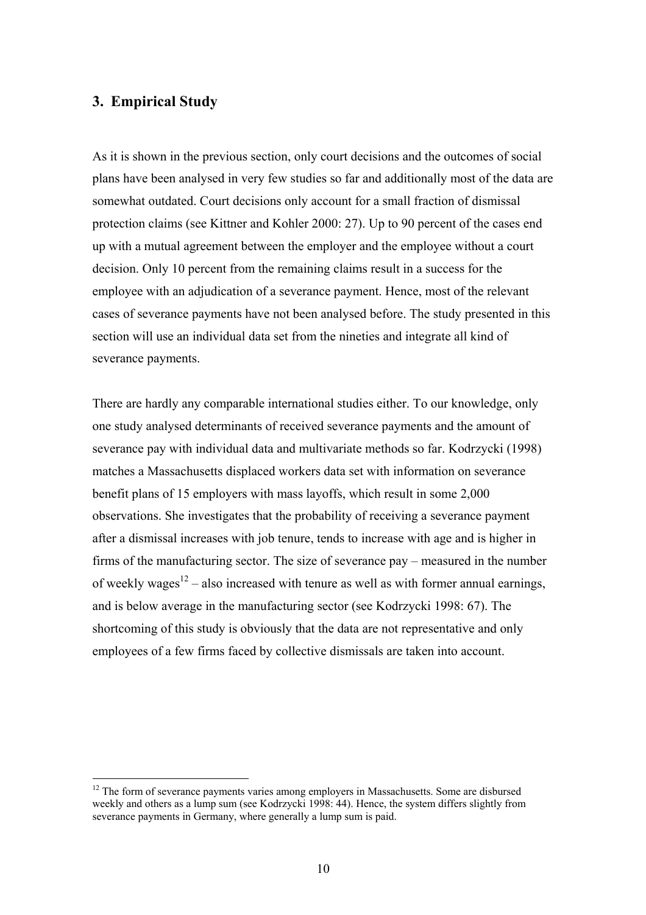#### **3. Empirical Study**

 $\overline{a}$ 

As it is shown in the previous section, only court decisions and the outcomes of social plans have been analysed in very few studies so far and additionally most of the data are somewhat outdated. Court decisions only account for a small fraction of dismissal protection claims (see Kittner and Kohler 2000: 27). Up to 90 percent of the cases end up with a mutual agreement between the employer and the employee without a court decision. Only 10 percent from the remaining claims result in a success for the employee with an adjudication of a severance payment. Hence, most of the relevant cases of severance payments have not been analysed before. The study presented in this section will use an individual data set from the nineties and integrate all kind of severance payments.

There are hardly any comparable international studies either. To our knowledge, only one study analysed determinants of received severance payments and the amount of severance pay with individual data and multivariate methods so far. Kodrzycki (1998) matches a Massachusetts displaced workers data set with information on severance benefit plans of 15 employers with mass layoffs, which result in some 2,000 observations. She investigates that the probability of receiving a severance payment after a dismissal increases with job tenure, tends to increase with age and is higher in firms of the manufacturing sector. The size of severance pay – measured in the number of weekly wages<sup>12</sup> – also increased with tenure as well as with former annual earnings, and is below average in the manufacturing sector (see Kodrzycki 1998: 67). The shortcoming of this study is obviously that the data are not representative and only employees of a few firms faced by collective dismissals are taken into account.

 $12$  The form of severance payments varies among employers in Massachusetts. Some are disbursed weekly and others as a lump sum (see Kodrzycki 1998: 44). Hence, the system differs slightly from severance payments in Germany, where generally a lump sum is paid.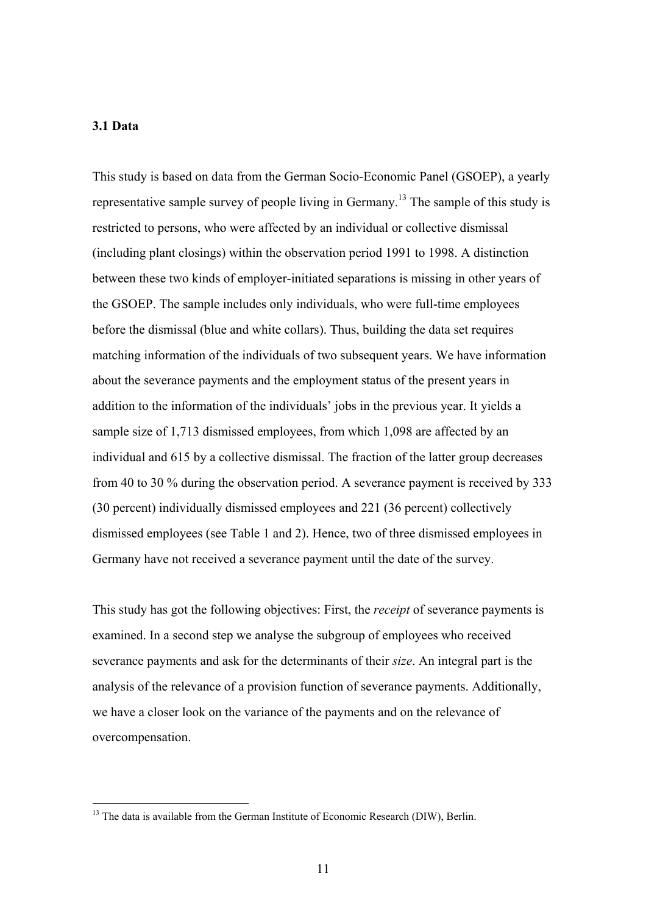#### **3.1 Data**

 $\overline{a}$ 

This study is based on data from the German Socio-Economic Panel (GSOEP), a yearly representative sample survey of people living in Germany.<sup>13</sup> The sample of this study is restricted to persons, who were affected by an individual or collective dismissal (including plant closings) within the observation period 1991 to 1998. A distinction between these two kinds of employer-initiated separations is missing in other years of the GSOEP. The sample includes only individuals, who were full-time employees before the dismissal (blue and white collars). Thus, building the data set requires matching information of the individuals of two subsequent years. We have information about the severance payments and the employment status of the present years in addition to the information of the individuals' jobs in the previous year. It yields a sample size of 1,713 dismissed employees, from which 1,098 are affected by an individual and 615 by a collective dismissal. The fraction of the latter group decreases from 40 to 30 % during the observation period. A severance payment is received by 333 (30 percent) individually dismissed employees and 221 (36 percent) collectively dismissed employees (see Table 1 and 2). Hence, two of three dismissed employees in Germany have not received a severance payment until the date of the survey.

This study has got the following objectives: First, the *receipt* of severance payments is examined. In a second step we analyse the subgroup of employees who received severance payments and ask for the determinants of their *size*. An integral part is the analysis of the relevance of a provision function of severance payments. Additionally, we have a closer look on the variance of the payments and on the relevance of overcompensation.

 $13$  The data is available from the German Institute of Economic Research (DIW), Berlin.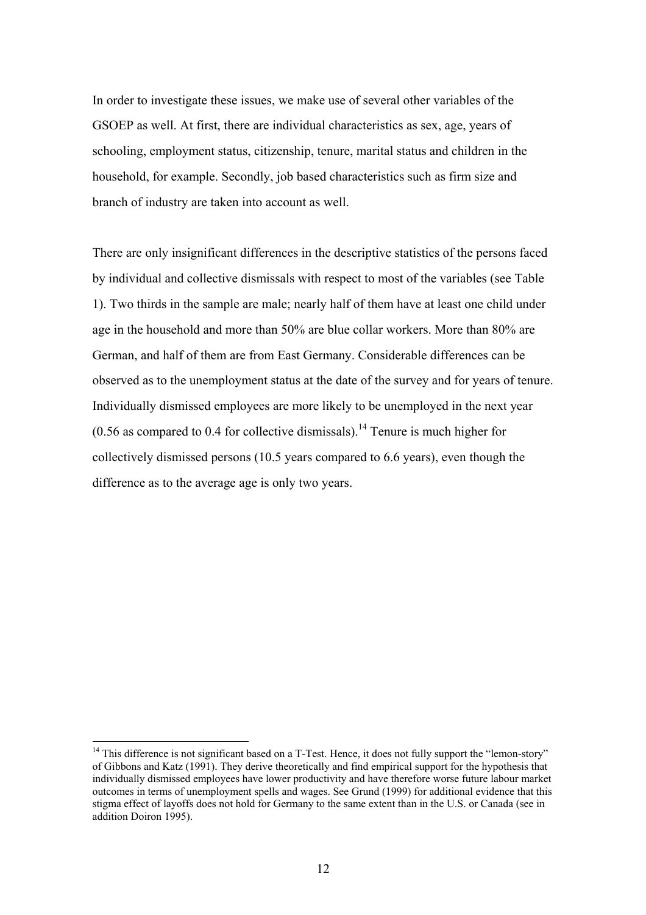In order to investigate these issues, we make use of several other variables of the GSOEP as well. At first, there are individual characteristics as sex, age, years of schooling, employment status, citizenship, tenure, marital status and children in the household, for example. Secondly, job based characteristics such as firm size and branch of industry are taken into account as well.

There are only insignificant differences in the descriptive statistics of the persons faced by individual and collective dismissals with respect to most of the variables (see Table 1). Two thirds in the sample are male; nearly half of them have at least one child under age in the household and more than 50% are blue collar workers. More than 80% are German, and half of them are from East Germany. Considerable differences can be observed as to the unemployment status at the date of the survey and for years of tenure. Individually dismissed employees are more likely to be unemployed in the next year  $(0.56$  as compared to 0.4 for collective dismissals).<sup>14</sup> Tenure is much higher for collectively dismissed persons (10.5 years compared to 6.6 years), even though the difference as to the average age is only two years.

 $<sup>14</sup>$  This difference is not significant based on a T-Test. Hence, it does not fully support the "lemon-story"</sup> of Gibbons and Katz (1991). They derive theoretically and find empirical support for the hypothesis that individually dismissed employees have lower productivity and have therefore worse future labour market outcomes in terms of unemployment spells and wages. See Grund (1999) for additional evidence that this stigma effect of layoffs does not hold for Germany to the same extent than in the U.S. or Canada (see in addition Doiron 1995).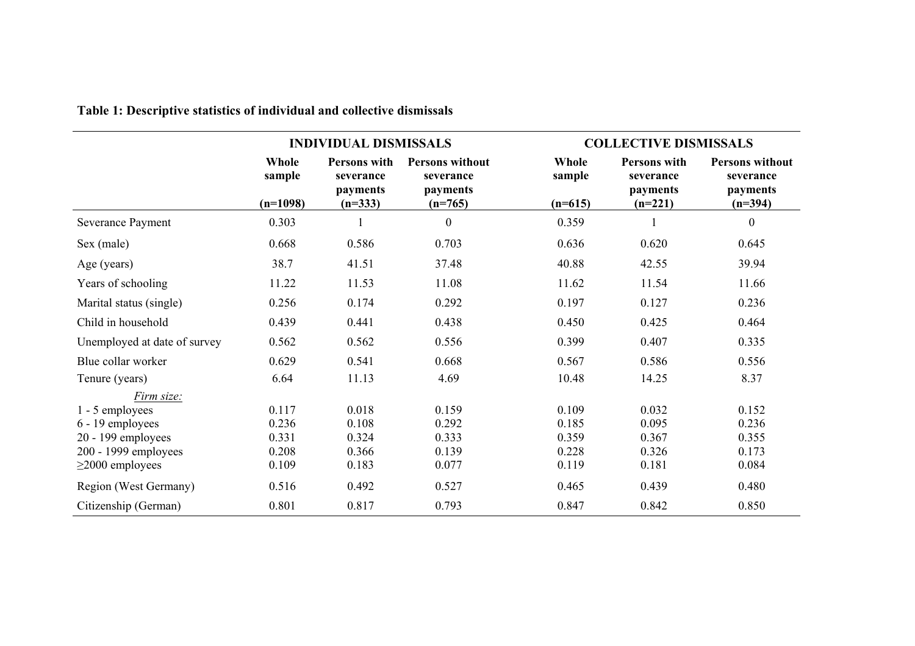|                              |                               | <b>INDIVIDUAL DISMISSALS</b>                                     |                                                                     | <b>COLLECTIVE DISMISSALS</b> |                                                                  |                                                              |
|------------------------------|-------------------------------|------------------------------------------------------------------|---------------------------------------------------------------------|------------------------------|------------------------------------------------------------------|--------------------------------------------------------------|
|                              | Whole<br>sample<br>$(n=1098)$ | <b>Persons with</b><br>severance<br><i>payments</i><br>$(n=333)$ | <b>Persons without</b><br>severance<br><i>payments</i><br>$(n=765)$ | Whole<br>sample<br>$(n=615)$ | <b>Persons with</b><br>severance<br><i>payments</i><br>$(n=221)$ | <b>Persons without</b><br>severance<br>payments<br>$(n=394)$ |
| Severance Payment            | 0.303                         |                                                                  | $\boldsymbol{0}$                                                    | 0.359                        |                                                                  | $\boldsymbol{0}$                                             |
| Sex (male)                   | 0.668                         | 0.586                                                            | 0.703                                                               | 0.636                        | 0.620                                                            | 0.645                                                        |
| Age (years)                  | 38.7                          | 41.51                                                            | 37.48                                                               | 40.88                        | 42.55                                                            | 39.94                                                        |
| Years of schooling           | 11.22                         | 11.53                                                            | 11.08                                                               | 11.62                        | 11.54                                                            | 11.66                                                        |
| Marital status (single)      | 0.256                         | 0.174                                                            | 0.292                                                               | 0.197                        | 0.127                                                            | 0.236                                                        |
| Child in household           | 0.439                         | 0.441                                                            | 0.438                                                               | 0.450                        | 0.425                                                            | 0.464                                                        |
| Unemployed at date of survey | 0.562                         | 0.562                                                            | 0.556                                                               | 0.399                        | 0.407                                                            | 0.335                                                        |
| Blue collar worker           | 0.629                         | 0.541                                                            | 0.668                                                               | 0.567                        | 0.586                                                            | 0.556                                                        |
| Tenure (years)               | 6.64                          | 11.13                                                            | 4.69                                                                | 10.48                        | 14.25                                                            | 8.37                                                         |
| Firm size:                   |                               |                                                                  |                                                                     |                              |                                                                  |                                                              |
| 1 - 5 employees              | 0.117                         | 0.018                                                            | 0.159                                                               | 0.109                        | 0.032                                                            | 0.152                                                        |
| 6 - 19 employees             | 0.236                         | 0.108                                                            | 0.292                                                               | 0.185                        | 0.095                                                            | 0.236                                                        |
| 20 - 199 employees           | 0.331                         | 0.324                                                            | 0.333                                                               | 0.359                        | 0.367                                                            | 0.355                                                        |
| 200 - 1999 employees         | 0.208                         | 0.366                                                            | 0.139                                                               | 0.228                        | 0.326                                                            | 0.173                                                        |
| $\geq$ 2000 employees        | 0.109                         | 0.183                                                            | 0.077                                                               | 0.119                        | 0.181                                                            | 0.084                                                        |
| Region (West Germany)        | 0.516                         | 0.492                                                            | 0.527                                                               | 0.465                        | 0.439                                                            | 0.480                                                        |
| Citizenship (German)         | 0.801                         | 0.817                                                            | 0.793                                                               | 0.847                        | 0.842                                                            | 0.850                                                        |

**Table 1: Descriptive statistics of individual and collective dismissals**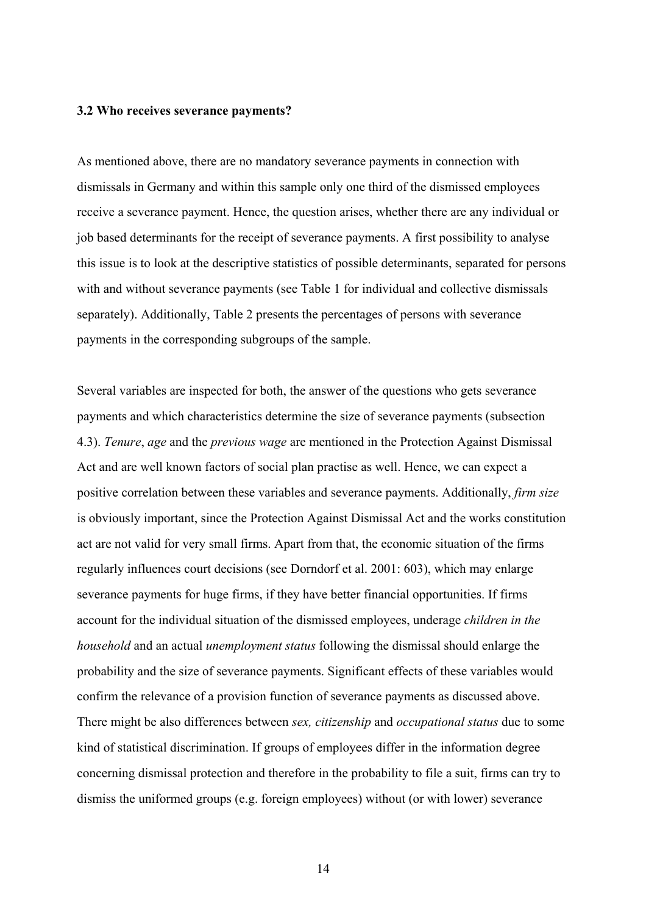#### **3.2 Who receives severance payments?**

As mentioned above, there are no mandatory severance payments in connection with dismissals in Germany and within this sample only one third of the dismissed employees receive a severance payment. Hence, the question arises, whether there are any individual or job based determinants for the receipt of severance payments. A first possibility to analyse this issue is to look at the descriptive statistics of possible determinants, separated for persons with and without severance payments (see Table 1 for individual and collective dismissals separately). Additionally, Table 2 presents the percentages of persons with severance payments in the corresponding subgroups of the sample.

Several variables are inspected for both, the answer of the questions who gets severance payments and which characteristics determine the size of severance payments (subsection 4.3). *Tenure*, *age* and the *previous wage* are mentioned in the Protection Against Dismissal Act and are well known factors of social plan practise as well. Hence, we can expect a positive correlation between these variables and severance payments. Additionally, *firm size* is obviously important, since the Protection Against Dismissal Act and the works constitution act are not valid for very small firms. Apart from that, the economic situation of the firms regularly influences court decisions (see Dorndorf et al. 2001: 603), which may enlarge severance payments for huge firms, if they have better financial opportunities. If firms account for the individual situation of the dismissed employees, underage *children in the household* and an actual *unemployment status* following the dismissal should enlarge the probability and the size of severance payments. Significant effects of these variables would confirm the relevance of a provision function of severance payments as discussed above. There might be also differences between *sex, citizenship* and *occupational status* due to some kind of statistical discrimination. If groups of employees differ in the information degree concerning dismissal protection and therefore in the probability to file a suit, firms can try to dismiss the uniformed groups (e.g. foreign employees) without (or with lower) severance

14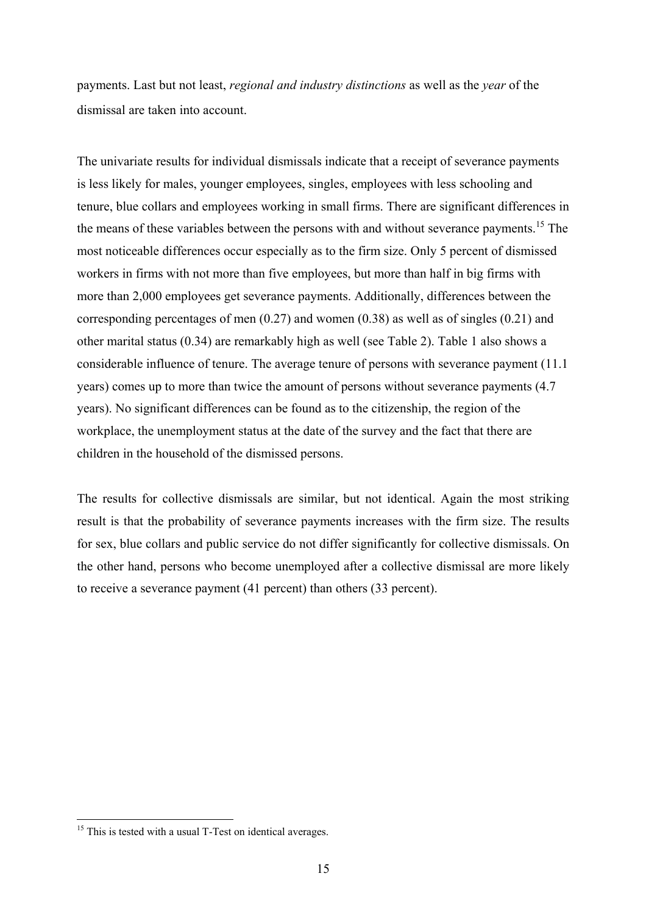payments. Last but not least, *regional and industry distinctions* as well as the *year* of the dismissal are taken into account.

The univariate results for individual dismissals indicate that a receipt of severance payments is less likely for males, younger employees, singles, employees with less schooling and tenure, blue collars and employees working in small firms. There are significant differences in the means of these variables between the persons with and without severance payments.<sup>15</sup> The most noticeable differences occur especially as to the firm size. Only 5 percent of dismissed workers in firms with not more than five employees, but more than half in big firms with more than 2,000 employees get severance payments. Additionally, differences between the corresponding percentages of men (0.27) and women (0.38) as well as of singles (0.21) and other marital status (0.34) are remarkably high as well (see Table 2). Table 1 also shows a considerable influence of tenure. The average tenure of persons with severance payment (11.1 years) comes up to more than twice the amount of persons without severance payments (4.7 years). No significant differences can be found as to the citizenship, the region of the workplace, the unemployment status at the date of the survey and the fact that there are children in the household of the dismissed persons.

The results for collective dismissals are similar, but not identical. Again the most striking result is that the probability of severance payments increases with the firm size. The results for sex, blue collars and public service do not differ significantly for collective dismissals. On the other hand, persons who become unemployed after a collective dismissal are more likely to receive a severance payment (41 percent) than others (33 percent).

 $15$  This is tested with a usual T-Test on identical averages.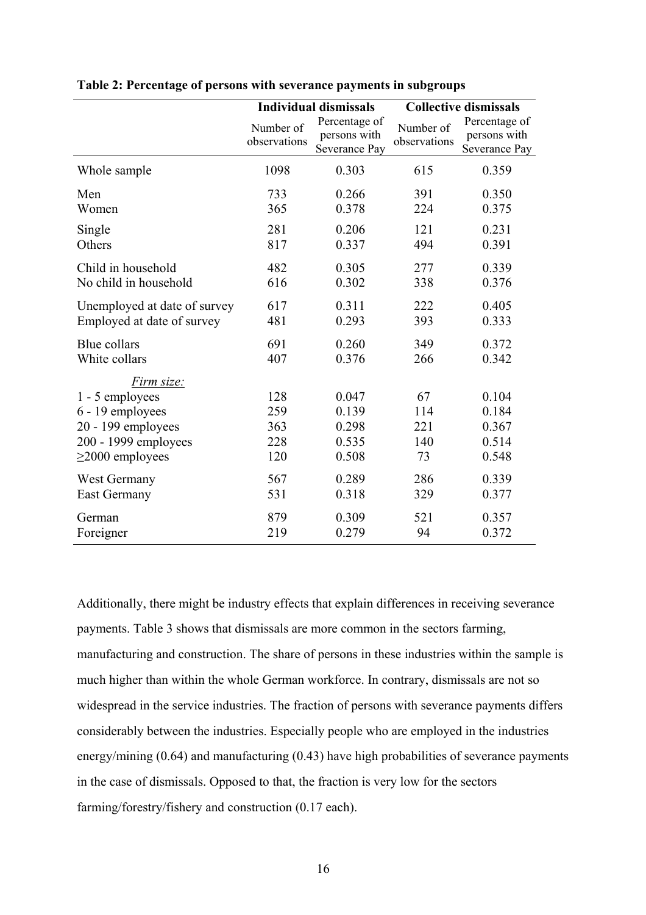|                                                                                                                          | <b>Individual dismissals</b>    |                                                | <b>Collective dismissals</b>  |                                                |
|--------------------------------------------------------------------------------------------------------------------------|---------------------------------|------------------------------------------------|-------------------------------|------------------------------------------------|
|                                                                                                                          | Number of<br>observations       | Percentage of<br>persons with<br>Severance Pay | Number of<br>observations     | Percentage of<br>persons with<br>Severance Pay |
| Whole sample                                                                                                             | 1098                            | 0.303                                          | 615                           | 0.359                                          |
| Men                                                                                                                      | 733                             | 0.266                                          | 391                           | 0.350                                          |
| Women                                                                                                                    | 365                             | 0.378                                          | 224                           | 0.375                                          |
| Single                                                                                                                   | 281                             | 0.206                                          | 121                           | 0.231                                          |
| Others                                                                                                                   | 817                             | 0.337                                          | 494                           | 0.391                                          |
| Child in household                                                                                                       | 482                             | 0.305                                          | 277                           | 0.339                                          |
| No child in household                                                                                                    | 616                             | 0.302                                          | 338                           | 0.376                                          |
| Unemployed at date of survey                                                                                             | 617                             | 0.311                                          | 222                           | 0.405                                          |
| Employed at date of survey                                                                                               | 481                             | 0.293                                          | 393                           | 0.333                                          |
| <b>Blue collars</b>                                                                                                      | 691                             | 0.260                                          | 349                           | 0.372                                          |
| White collars                                                                                                            | 407                             | 0.376                                          | 266                           | 0.342                                          |
| Firm size:<br>1 - 5 employees<br>6 - 19 employees<br>20 - 199 employees<br>200 - 1999 employees<br>$\geq$ 2000 employees | 128<br>259<br>363<br>228<br>120 | 0.047<br>0.139<br>0.298<br>0.535<br>0.508      | 67<br>114<br>221<br>140<br>73 | 0.104<br>0.184<br>0.367<br>0.514<br>0.548      |
| West Germany                                                                                                             | 567                             | 0.289                                          | 286                           | 0.339                                          |
| <b>East Germany</b>                                                                                                      | 531                             | 0.318                                          | 329                           | 0.377                                          |
| German                                                                                                                   | 879                             | 0.309                                          | 521                           | 0.357                                          |
| Foreigner                                                                                                                | 219                             | 0.279                                          | 94                            | 0.372                                          |

**Table 2: Percentage of persons with severance payments in subgroups** 

Additionally, there might be industry effects that explain differences in receiving severance payments. Table 3 shows that dismissals are more common in the sectors farming, manufacturing and construction. The share of persons in these industries within the sample is much higher than within the whole German workforce. In contrary, dismissals are not so widespread in the service industries. The fraction of persons with severance payments differs considerably between the industries. Especially people who are employed in the industries energy/mining (0.64) and manufacturing (0.43) have high probabilities of severance payments in the case of dismissals. Opposed to that, the fraction is very low for the sectors farming/forestry/fishery and construction (0.17 each).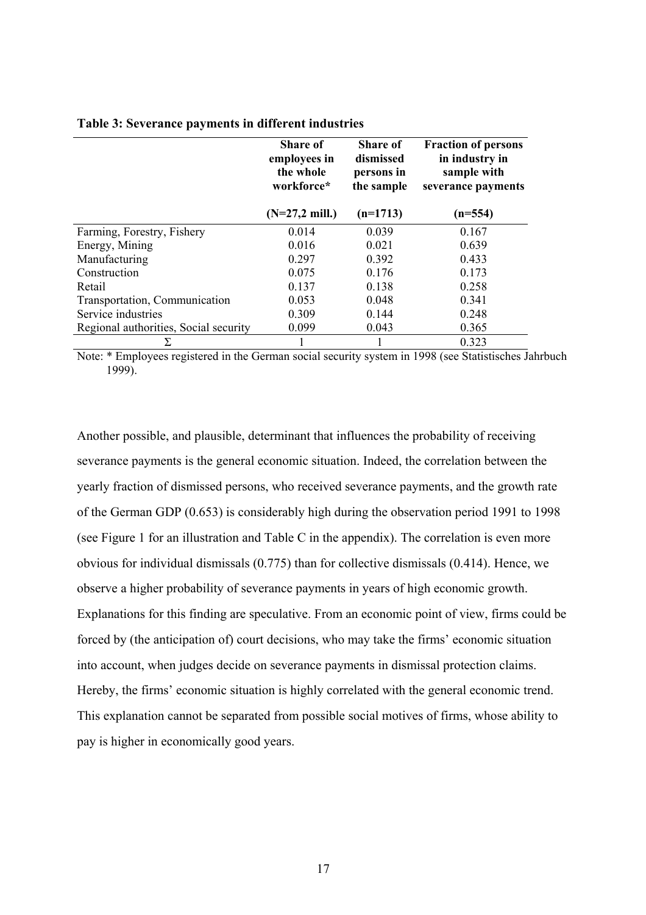|                                       | <b>Share of</b><br>employees in<br>the whole<br>workforce* | Share of<br>dismissed<br>persons in<br>the sample | <b>Fraction of persons</b><br>in industry in<br>sample with<br>severance payments |
|---------------------------------------|------------------------------------------------------------|---------------------------------------------------|-----------------------------------------------------------------------------------|
|                                       | $(N=27,2$ mill.)                                           | $(n=1713)$                                        | $(n=554)$                                                                         |
| Farming, Forestry, Fishery            | 0.014                                                      | 0.039                                             | 0.167                                                                             |
| Energy, Mining                        | 0.016                                                      | 0.021                                             | 0.639                                                                             |
| Manufacturing                         | 0.297                                                      | 0.392                                             | 0.433                                                                             |
| Construction                          | 0.075                                                      | 0.176                                             | 0.173                                                                             |
| Retail                                | 0.137                                                      | 0.138                                             | 0.258                                                                             |
| Transportation, Communication         | 0.053                                                      | 0.048                                             | 0.341                                                                             |
| Service industries                    | 0.309                                                      | 0.144                                             | 0.248                                                                             |
| Regional authorities, Social security | 0.099                                                      | 0.043                                             | 0.365                                                                             |
| Σ                                     |                                                            |                                                   | 0.323                                                                             |

#### **Table 3: Severance payments in different industries**

Note: \* Employees registered in the German social security system in 1998 (see Statistisches Jahrbuch 1999).

Another possible, and plausible, determinant that influences the probability of receiving severance payments is the general economic situation. Indeed, the correlation between the yearly fraction of dismissed persons, who received severance payments, and the growth rate of the German GDP (0.653) is considerably high during the observation period 1991 to 1998 (see Figure 1 for an illustration and Table C in the appendix). The correlation is even more obvious for individual dismissals (0.775) than for collective dismissals (0.414). Hence, we observe a higher probability of severance payments in years of high economic growth. Explanations for this finding are speculative. From an economic point of view, firms could be forced by (the anticipation of) court decisions, who may take the firms' economic situation into account, when judges decide on severance payments in dismissal protection claims. Hereby, the firms' economic situation is highly correlated with the general economic trend. This explanation cannot be separated from possible social motives of firms, whose ability to pay is higher in economically good years.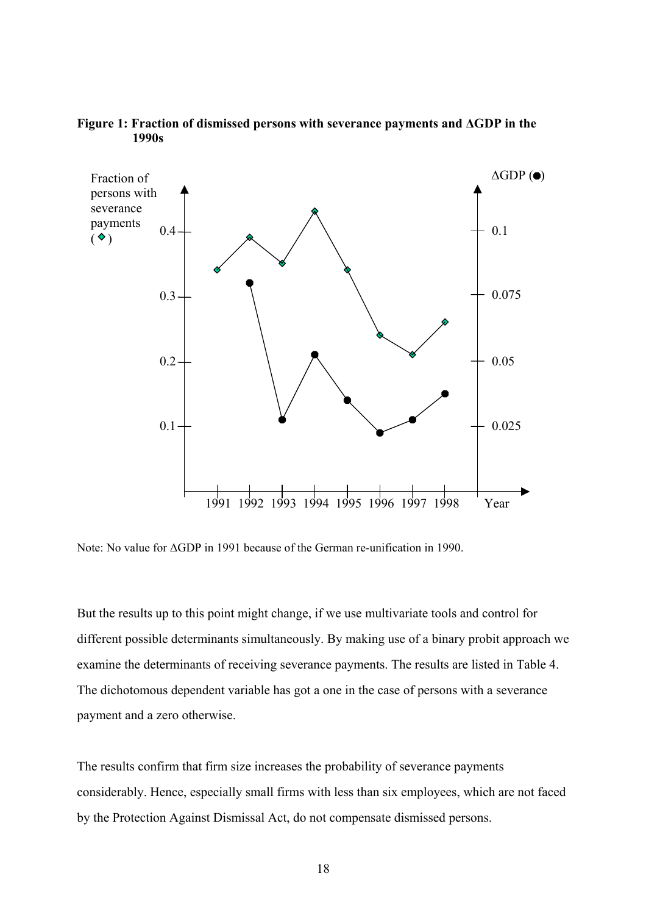

**Figure 1: Fraction of dismissed persons with severance payments and ∆GDP in the 1990s** 

Note: No value for ΔGDP in 1991 because of the German re-unification in 1990.

But the results up to this point might change, if we use multivariate tools and control for different possible determinants simultaneously. By making use of a binary probit approach we examine the determinants of receiving severance payments. The results are listed in Table 4. The dichotomous dependent variable has got a one in the case of persons with a severance payment and a zero otherwise.

The results confirm that firm size increases the probability of severance payments considerably. Hence, especially small firms with less than six employees, which are not faced by the Protection Against Dismissal Act, do not compensate dismissed persons.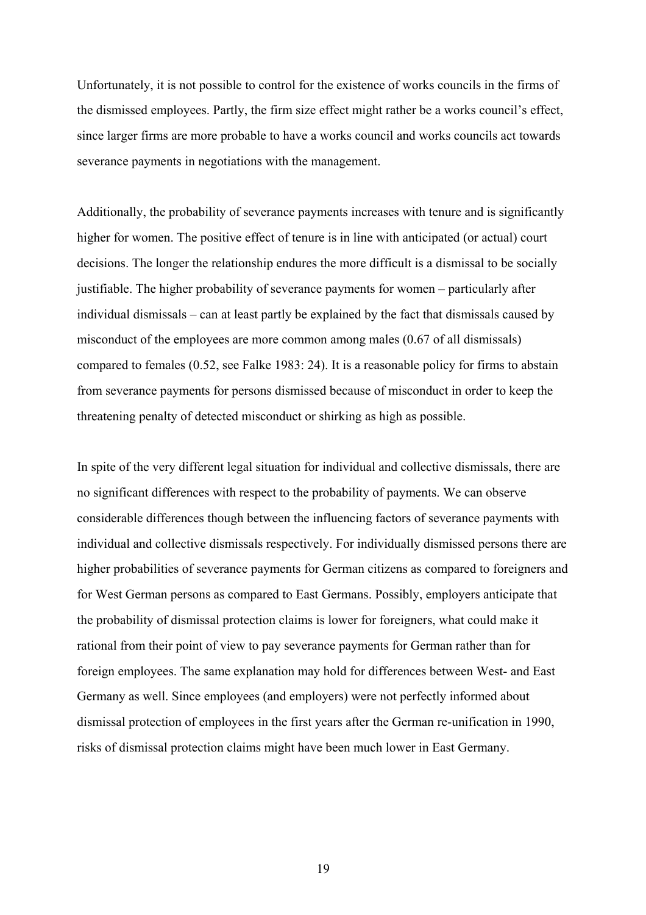Unfortunately, it is not possible to control for the existence of works councils in the firms of the dismissed employees. Partly, the firm size effect might rather be a works council's effect, since larger firms are more probable to have a works council and works councils act towards severance payments in negotiations with the management.

Additionally, the probability of severance payments increases with tenure and is significantly higher for women. The positive effect of tenure is in line with anticipated (or actual) court decisions. The longer the relationship endures the more difficult is a dismissal to be socially justifiable. The higher probability of severance payments for women – particularly after individual dismissals – can at least partly be explained by the fact that dismissals caused by misconduct of the employees are more common among males (0.67 of all dismissals) compared to females (0.52, see Falke 1983: 24). It is a reasonable policy for firms to abstain from severance payments for persons dismissed because of misconduct in order to keep the threatening penalty of detected misconduct or shirking as high as possible.

In spite of the very different legal situation for individual and collective dismissals, there are no significant differences with respect to the probability of payments. We can observe considerable differences though between the influencing factors of severance payments with individual and collective dismissals respectively. For individually dismissed persons there are higher probabilities of severance payments for German citizens as compared to foreigners and for West German persons as compared to East Germans. Possibly, employers anticipate that the probability of dismissal protection claims is lower for foreigners, what could make it rational from their point of view to pay severance payments for German rather than for foreign employees. The same explanation may hold for differences between West- and East Germany as well. Since employees (and employers) were not perfectly informed about dismissal protection of employees in the first years after the German re-unification in 1990, risks of dismissal protection claims might have been much lower in East Germany.

19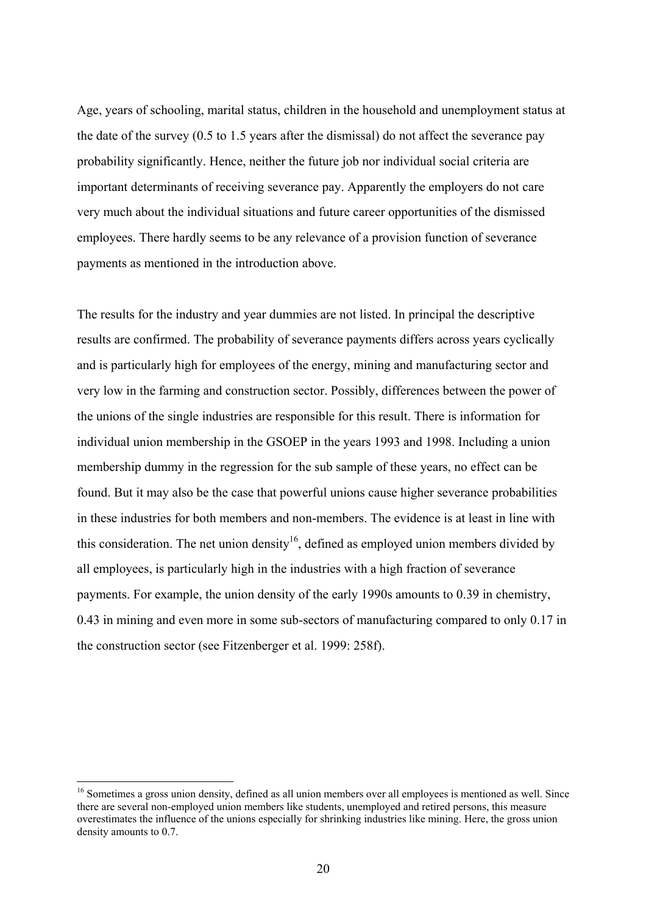Age, years of schooling, marital status, children in the household and unemployment status at the date of the survey (0.5 to 1.5 years after the dismissal) do not affect the severance pay probability significantly. Hence, neither the future job nor individual social criteria are important determinants of receiving severance pay. Apparently the employers do not care very much about the individual situations and future career opportunities of the dismissed employees. There hardly seems to be any relevance of a provision function of severance payments as mentioned in the introduction above.

The results for the industry and year dummies are not listed. In principal the descriptive results are confirmed. The probability of severance payments differs across years cyclically and is particularly high for employees of the energy, mining and manufacturing sector and very low in the farming and construction sector. Possibly, differences between the power of the unions of the single industries are responsible for this result. There is information for individual union membership in the GSOEP in the years 1993 and 1998. Including a union membership dummy in the regression for the sub sample of these years, no effect can be found. But it may also be the case that powerful unions cause higher severance probabilities in these industries for both members and non-members. The evidence is at least in line with this consideration. The net union density<sup>16</sup>, defined as employed union members divided by all employees, is particularly high in the industries with a high fraction of severance payments. For example, the union density of the early 1990s amounts to 0.39 in chemistry, 0.43 in mining and even more in some sub-sectors of manufacturing compared to only 0.17 in the construction sector (see Fitzenberger et al. 1999: 258f).

<sup>&</sup>lt;sup>16</sup> Sometimes a gross union density, defined as all union members over all employees is mentioned as well. Since there are several non-employed union members like students, unemployed and retired persons, this measure overestimates the influence of the unions especially for shrinking industries like mining. Here, the gross union density amounts to 0.7.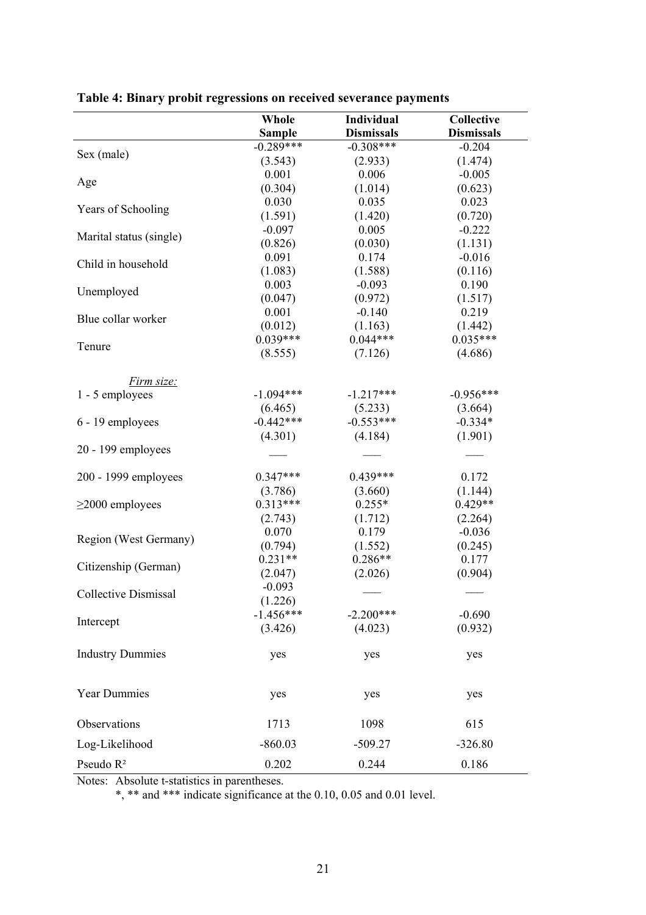|                         | Whole                        | Individual                       | <b>Collective</b>             |
|-------------------------|------------------------------|----------------------------------|-------------------------------|
|                         | <b>Sample</b><br>$-0.289***$ | <b>Dismissals</b><br>$-0.308***$ | <b>Dismissals</b><br>$-0.204$ |
| Sex (male)              | (3.543)                      |                                  | (1.474)                       |
|                         | 0.001                        | (2.933)<br>0.006                 | $-0.005$                      |
| Age                     | (0.304)                      | (1.014)                          | (0.623)                       |
|                         | 0.030                        | 0.035                            | 0.023                         |
| Years of Schooling      | (1.591)                      | (1.420)                          | (0.720)                       |
|                         | $-0.097$                     | 0.005                            | $-0.222$                      |
| Marital status (single) | (0.826)                      | (0.030)                          | (1.131)                       |
|                         | 0.091                        | 0.174                            | $-0.016$                      |
| Child in household      | (1.083)                      | (1.588)                          | (0.116)                       |
|                         | 0.003                        | $-0.093$                         | 0.190                         |
| Unemployed              | (0.047)                      | (0.972)                          | (1.517)                       |
|                         | 0.001                        | $-0.140$                         | 0.219                         |
| Blue collar worker      | (0.012)                      | (1.163)                          | (1.442)                       |
|                         | $0.039***$                   | $0.044***$                       | $0.035***$                    |
| Tenure                  | (8.555)                      | (7.126)                          | (4.686)                       |
| Firm size:              |                              |                                  |                               |
| 1 - 5 employees         | $-1.094***$                  | $-1.217***$                      | $-0.956***$                   |
|                         | (6.465)                      | (5.233)                          | (3.664)                       |
| 6 - 19 employees        | $-0.442***$                  | $-0.553***$                      | $-0.334*$                     |
|                         | (4.301)                      | (4.184)                          | (1.901)                       |
| 20 - 199 employees      |                              |                                  |                               |
| 200 - 1999 employees    | $0.347***$                   | $0.439***$                       | 0.172                         |
|                         | (3.786)                      | (3.660)                          | (1.144)                       |
| $\geq$ 2000 employees   | $0.313***$                   | $0.255*$                         | $0.429**$                     |
|                         | (2.743)                      | (1.712)                          | (2.264)                       |
|                         | 0.070                        | 0.179                            | $-0.036$                      |
| Region (West Germany)   | (0.794)                      | (1.552)                          | (0.245)                       |
| Citizenship (German)    | $0.231**$                    | $0.286**$                        | 0.177                         |
|                         | (2.047)                      | (2.026)                          | (0.904)                       |
| Collective Dismissal    | $-0.093$                     |                                  |                               |
|                         | (1.226)                      |                                  |                               |
| Intercept               | $-1.456***$                  | $-2.200***$                      | $-0.690$                      |
|                         | (3.426)                      | (4.023)                          | (0.932)                       |
| <b>Industry Dummies</b> | yes                          | yes                              | yes                           |
| <b>Year Dummies</b>     | yes                          | yes                              | yes                           |
| Observations            | 1713                         | 1098                             | 615                           |
| Log-Likelihood          | $-860.03$                    | $-509.27$                        | $-326.80$                     |
| Pseudo R <sup>2</sup>   | 0.202                        | 0.244                            | 0.186                         |

|  |  | Table 4: Binary probit regressions on received severance payments |  |
|--|--|-------------------------------------------------------------------|--|
|  |  |                                                                   |  |

Notes: Absolute t-statistics in parentheses.

\*, \*\* and \*\*\* indicate significance at the 0.10, 0.05 and 0.01 level.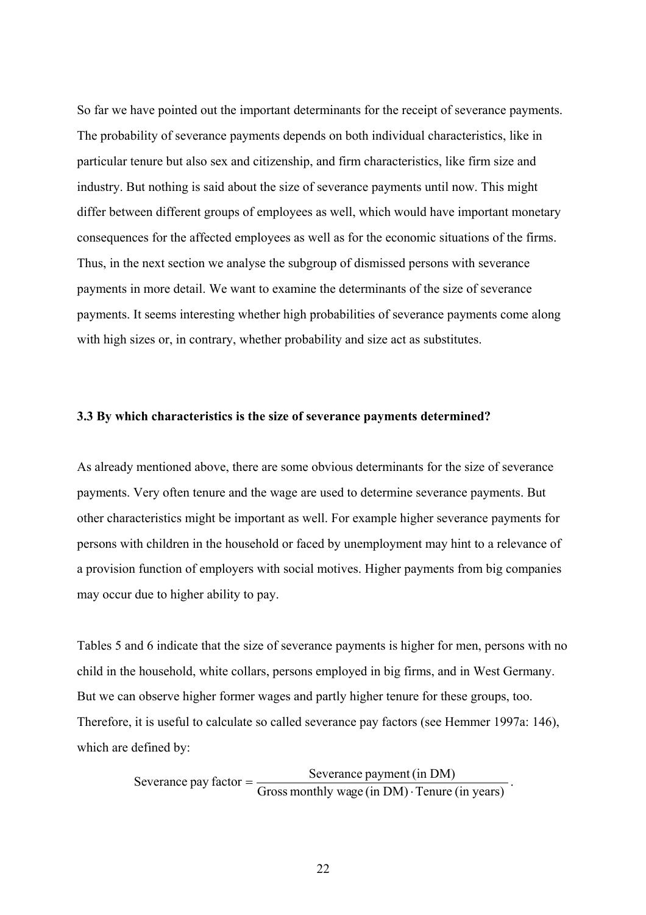So far we have pointed out the important determinants for the receipt of severance payments. The probability of severance payments depends on both individual characteristics, like in particular tenure but also sex and citizenship, and firm characteristics, like firm size and industry. But nothing is said about the size of severance payments until now. This might differ between different groups of employees as well, which would have important monetary consequences for the affected employees as well as for the economic situations of the firms. Thus, in the next section we analyse the subgroup of dismissed persons with severance payments in more detail. We want to examine the determinants of the size of severance payments. It seems interesting whether high probabilities of severance payments come along with high sizes or, in contrary, whether probability and size act as substitutes.

#### **3.3 By which characteristics is the size of severance payments determined?**

As already mentioned above, there are some obvious determinants for the size of severance payments. Very often tenure and the wage are used to determine severance payments. But other characteristics might be important as well. For example higher severance payments for persons with children in the household or faced by unemployment may hint to a relevance of a provision function of employers with social motives. Higher payments from big companies may occur due to higher ability to pay.

Tables 5 and 6 indicate that the size of severance payments is higher for men, persons with no child in the household, white collars, persons employed in big firms, and in West Germany. But we can observe higher former wages and partly higher tenure for these groups, too. Therefore, it is useful to calculate so called severance pay factors (see Hemmer 1997a: 146), which are defined by:

Severance pay factor =  $\frac{\text{Severage payment (in DM)}}{\text{Gross monthly wage (in DM)} \cdot \text{Tenure (in years)}}$ .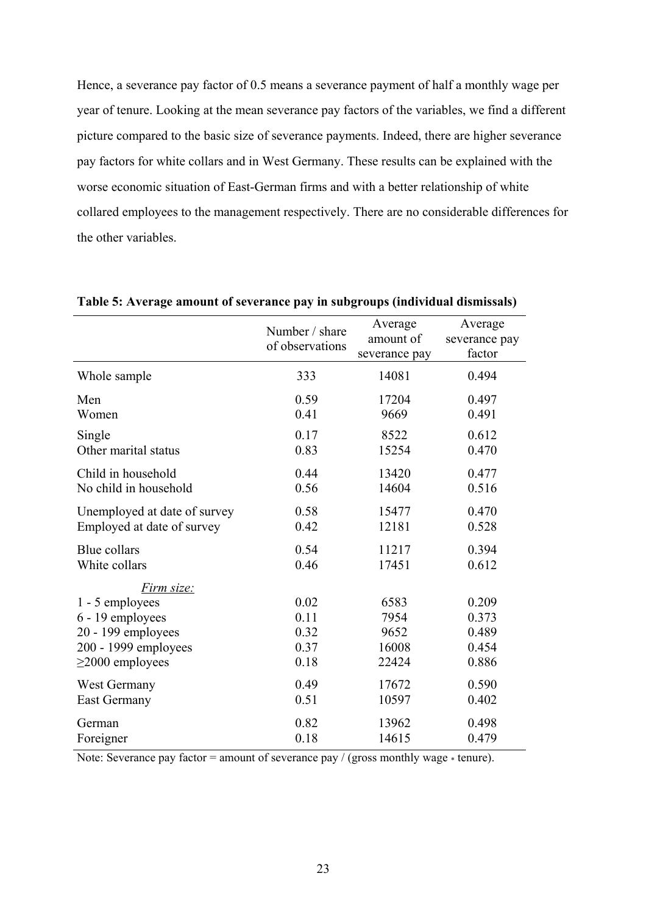Hence, a severance pay factor of 0.5 means a severance payment of half a monthly wage per year of tenure. Looking at the mean severance pay factors of the variables, we find a different picture compared to the basic size of severance payments. Indeed, there are higher severance pay factors for white collars and in West Germany. These results can be explained with the worse economic situation of East-German firms and with a better relationship of white collared employees to the management respectively. There are no considerable differences for the other variables.

|                              | Number / share<br>of observations | Average<br>amount of<br>severance pay | Average<br>severance pay<br>factor |
|------------------------------|-----------------------------------|---------------------------------------|------------------------------------|
| Whole sample                 | 333                               | 14081                                 | 0.494                              |
| Men                          | 0.59                              | 17204                                 | 0.497                              |
| Women                        | 0.41                              | 9669                                  | 0.491                              |
| Single                       | 0.17                              | 8522                                  | 0.612                              |
| Other marital status         | 0.83                              | 15254                                 | 0.470                              |
| Child in household           | 0.44                              | 13420                                 | 0.477                              |
| No child in household        | 0.56                              | 14604                                 | 0.516                              |
| Unemployed at date of survey | 0.58                              | 15477                                 | 0.470                              |
| Employed at date of survey   | 0.42                              | 12181                                 | 0.528                              |
| Blue collars                 | 0.54                              | 11217                                 | 0.394                              |
| White collars                | 0.46                              | 17451                                 | 0.612                              |
| Firm size:                   |                                   |                                       |                                    |
| 1 - 5 employees              | 0.02                              | 6583                                  | 0.209                              |
| 6 - 19 employees             | 0.11                              | 7954                                  | 0.373                              |
| 20 - 199 employees           | 0.32                              | 9652                                  | 0.489                              |
| 200 - 1999 employees         | 0.37                              | 16008                                 | 0.454                              |
| $\geq$ 2000 employees        | 0.18                              | 22424                                 | 0.886                              |
| West Germany                 | 0.49                              | 17672                                 | 0.590                              |
| <b>East Germany</b>          | 0.51                              | 10597                                 | 0.402                              |
| German                       | 0.82                              | 13962                                 | 0.498                              |
| Foreigner                    | 0.18                              | 14615                                 | 0.479                              |

**Table 5: Average amount of severance pay in subgroups (individual dismissals)** 

Note: Severance pay factor = amount of severance pay / (gross monthly wage  $*$  tenure).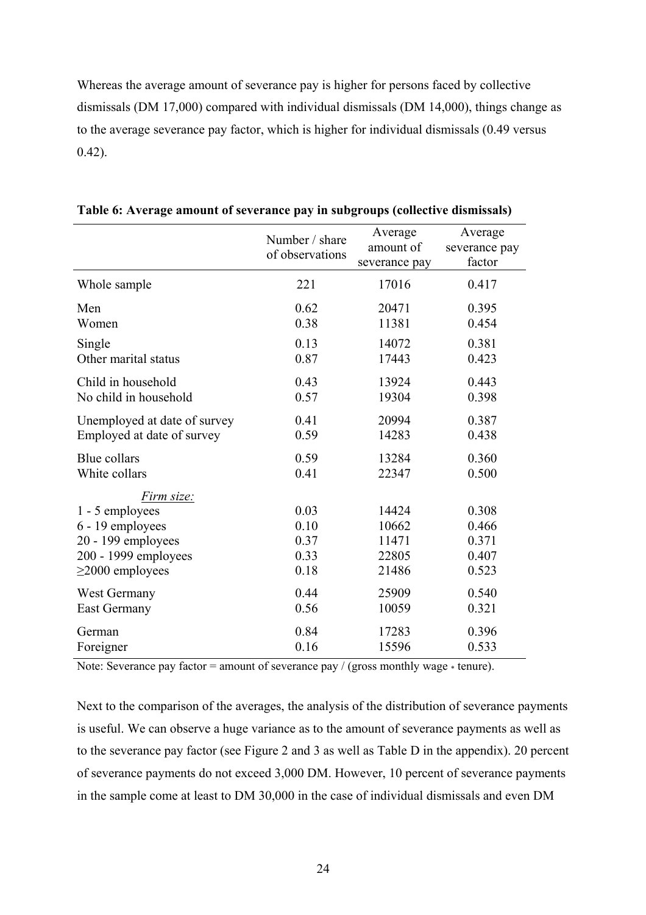Whereas the average amount of severance pay is higher for persons faced by collective dismissals (DM 17,000) compared with individual dismissals (DM 14,000), things change as to the average severance pay factor, which is higher for individual dismissals (0.49 versus 0.42).

|                                                                                                                          | Number / share<br>of observations    | Average<br>amount of<br>severance pay     | Average<br>severance pay<br>factor        |
|--------------------------------------------------------------------------------------------------------------------------|--------------------------------------|-------------------------------------------|-------------------------------------------|
| Whole sample                                                                                                             | 221                                  | 17016                                     | 0.417                                     |
| Men                                                                                                                      | 0.62                                 | 20471                                     | 0.395                                     |
| Women                                                                                                                    | 0.38                                 | 11381                                     | 0.454                                     |
| Single                                                                                                                   | 0.13                                 | 14072                                     | 0.381                                     |
| Other marital status                                                                                                     | 0.87                                 | 17443                                     | 0.423                                     |
| Child in household                                                                                                       | 0.43                                 | 13924                                     | 0.443                                     |
| No child in household                                                                                                    | 0.57                                 | 19304                                     | 0.398                                     |
| Unemployed at date of survey                                                                                             | 0.41                                 | 20994                                     | 0.387                                     |
| Employed at date of survey                                                                                               | 0.59                                 | 14283                                     | 0.438                                     |
| Blue collars                                                                                                             | 0.59                                 | 13284                                     | 0.360                                     |
| White collars                                                                                                            | 0.41                                 | 22347                                     | 0.500                                     |
| Firm size:<br>1 - 5 employees<br>6 - 19 employees<br>20 - 199 employees<br>200 - 1999 employees<br>$\geq$ 2000 employees | 0.03<br>0.10<br>0.37<br>0.33<br>0.18 | 14424<br>10662<br>11471<br>22805<br>21486 | 0.308<br>0.466<br>0.371<br>0.407<br>0.523 |
| West Germany                                                                                                             | 0.44                                 | 25909                                     | 0.540                                     |
| <b>East Germany</b>                                                                                                      | 0.56                                 | 10059                                     | 0.321                                     |
| German                                                                                                                   | 0.84                                 | 17283                                     | 0.396                                     |
| Foreigner                                                                                                                | 0.16                                 | 15596                                     | 0.533                                     |

**Table 6: Average amount of severance pay in subgroups (collective dismissals)** 

Note: Severance pay factor = amount of severance pay / (gross monthly wage  $*$  tenure).

Next to the comparison of the averages, the analysis of the distribution of severance payments is useful. We can observe a huge variance as to the amount of severance payments as well as to the severance pay factor (see Figure 2 and 3 as well as Table D in the appendix). 20 percent of severance payments do not exceed 3,000 DM. However, 10 percent of severance payments in the sample come at least to DM 30,000 in the case of individual dismissals and even DM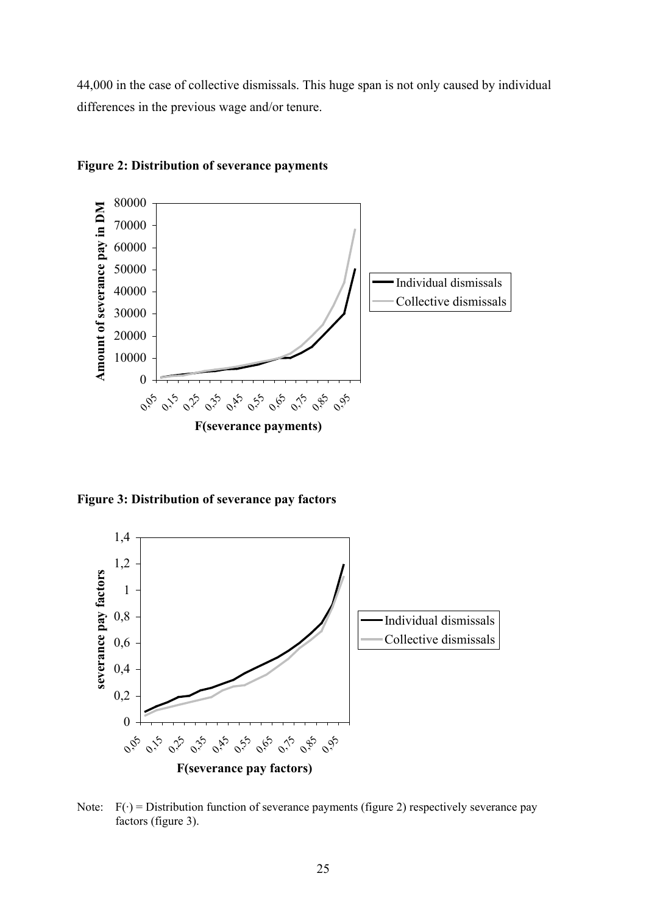44,000 in the case of collective dismissals. This huge span is not only caused by individual differences in the previous wage and/or tenure.



**Figure 2: Distribution of severance payments** 

**Figure 3: Distribution of severance pay factors** 



Note:  $F(\cdot)$  = Distribution function of severance payments (figure 2) respectively severance pay factors (figure 3).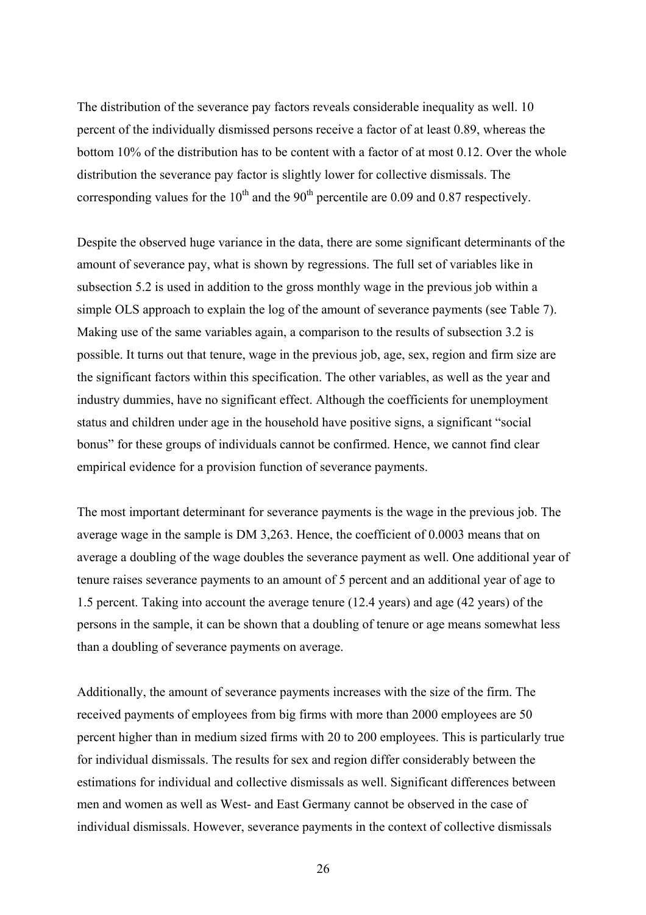The distribution of the severance pay factors reveals considerable inequality as well. 10 percent of the individually dismissed persons receive a factor of at least 0.89, whereas the bottom 10% of the distribution has to be content with a factor of at most 0.12. Over the whole distribution the severance pay factor is slightly lower for collective dismissals. The corresponding values for the  $10^{th}$  and the  $90^{th}$  percentile are 0.09 and 0.87 respectively.

Despite the observed huge variance in the data, there are some significant determinants of the amount of severance pay, what is shown by regressions. The full set of variables like in subsection 5.2 is used in addition to the gross monthly wage in the previous job within a simple OLS approach to explain the log of the amount of severance payments (see Table 7). Making use of the same variables again, a comparison to the results of subsection 3.2 is possible. It turns out that tenure, wage in the previous job, age, sex, region and firm size are the significant factors within this specification. The other variables, as well as the year and industry dummies, have no significant effect. Although the coefficients for unemployment status and children under age in the household have positive signs, a significant "social bonus" for these groups of individuals cannot be confirmed. Hence, we cannot find clear empirical evidence for a provision function of severance payments.

The most important determinant for severance payments is the wage in the previous job. The average wage in the sample is DM 3,263. Hence, the coefficient of 0.0003 means that on average a doubling of the wage doubles the severance payment as well. One additional year of tenure raises severance payments to an amount of 5 percent and an additional year of age to 1.5 percent. Taking into account the average tenure (12.4 years) and age (42 years) of the persons in the sample, it can be shown that a doubling of tenure or age means somewhat less than a doubling of severance payments on average.

Additionally, the amount of severance payments increases with the size of the firm. The received payments of employees from big firms with more than 2000 employees are 50 percent higher than in medium sized firms with 20 to 200 employees. This is particularly true for individual dismissals. The results for sex and region differ considerably between the estimations for individual and collective dismissals as well. Significant differences between men and women as well as West- and East Germany cannot be observed in the case of individual dismissals. However, severance payments in the context of collective dismissals

26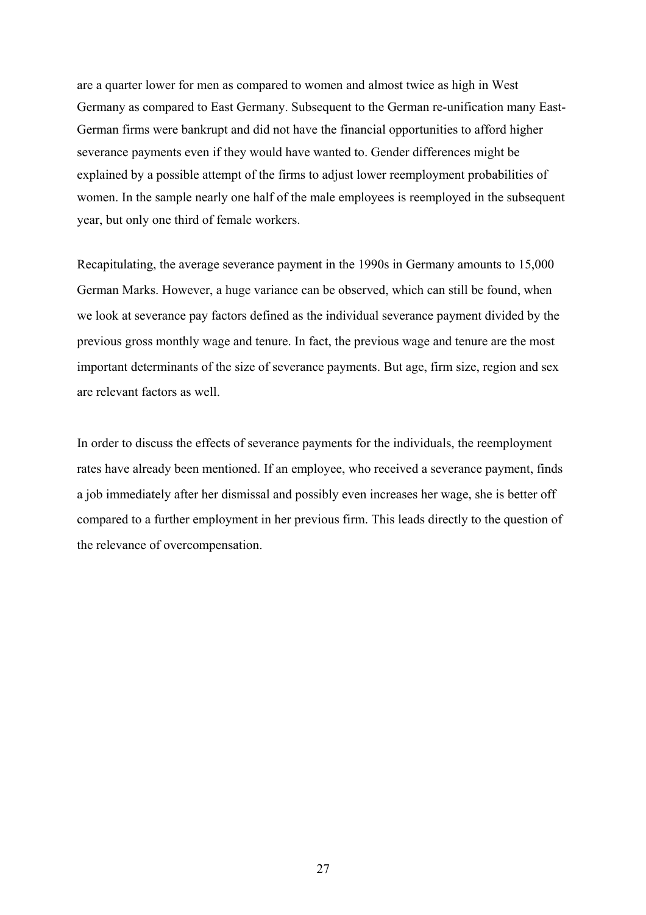are a quarter lower for men as compared to women and almost twice as high in West Germany as compared to East Germany. Subsequent to the German re-unification many East-German firms were bankrupt and did not have the financial opportunities to afford higher severance payments even if they would have wanted to. Gender differences might be explained by a possible attempt of the firms to adjust lower reemployment probabilities of women. In the sample nearly one half of the male employees is reemployed in the subsequent year, but only one third of female workers.

Recapitulating, the average severance payment in the 1990s in Germany amounts to 15,000 German Marks. However, a huge variance can be observed, which can still be found, when we look at severance pay factors defined as the individual severance payment divided by the previous gross monthly wage and tenure. In fact, the previous wage and tenure are the most important determinants of the size of severance payments. But age, firm size, region and sex are relevant factors as well.

In order to discuss the effects of severance payments for the individuals, the reemployment rates have already been mentioned. If an employee, who received a severance payment, finds a job immediately after her dismissal and possibly even increases her wage, she is better off compared to a further employment in her previous firm. This leads directly to the question of the relevance of overcompensation.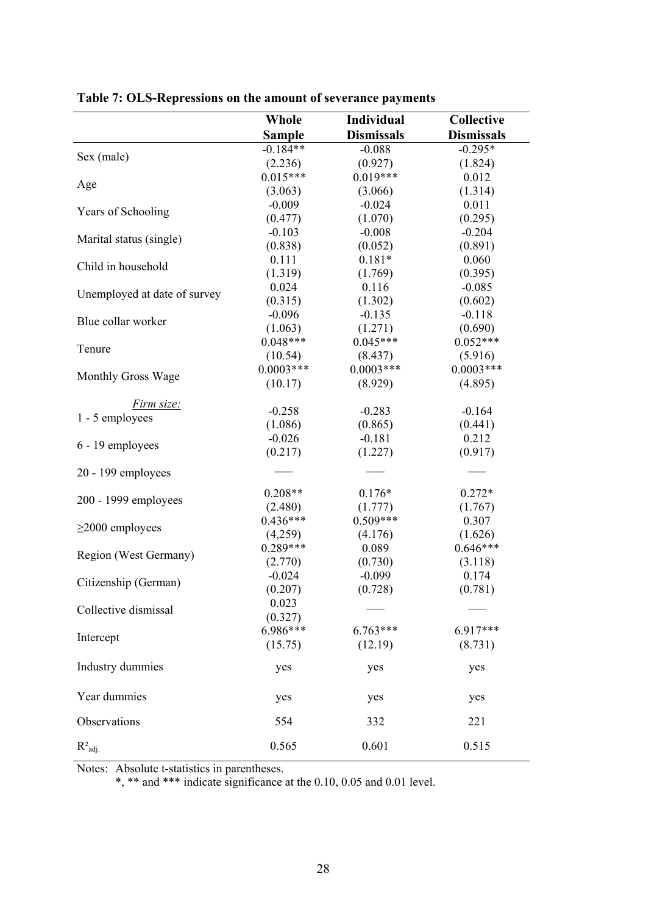|                              | Whole         | Individual        | Collective        |
|------------------------------|---------------|-------------------|-------------------|
|                              | <b>Sample</b> | <b>Dismissals</b> | <b>Dismissals</b> |
|                              | $-0.184**$    | $-0.088$          | $-0.295*$         |
| Sex (male)                   | (2.236)       | (0.927)           | (1.824)           |
|                              | $0.015***$    | $0.019***$        | 0.012             |
| Age                          | (3.063)       | (3.066)           | (1.314)           |
|                              | $-0.009$      | $-0.024$          | 0.011             |
| Years of Schooling           | (0.477)       | (1.070)           | (0.295)           |
|                              | $-0.103$      | $-0.008$          | $-0.204$          |
| Marital status (single)      | (0.838)       | (0.052)           | (0.891)           |
|                              | 0.111         | $0.181*$          | 0.060             |
| Child in household           | (1.319)       | (1.769)           | (0.395)           |
|                              | 0.024         | 0.116             | $-0.085$          |
| Unemployed at date of survey | (0.315)       | (1.302)           | (0.602)           |
|                              | $-0.096$      | $-0.135$          | $-0.118$          |
| Blue collar worker           | (1.063)       | (1.271)           | (0.690)           |
|                              | $0.048***$    | $0.045***$        | $0.052***$        |
| Tenure                       | (10.54)       | (8.437)           | (5.916)           |
|                              | $0.0003***$   | $0.0003***$       | $0.0003***$       |
| Monthly Gross Wage           |               |                   |                   |
|                              | (10.17)       | (8.929)           | (4.895)           |
| Firm size:                   | $-0.258$      | $-0.283$          | $-0.164$          |
| 1 - 5 employees              | (1.086)       | (0.865)           | (0.441)           |
|                              | $-0.026$      | $-0.181$          | 0.212             |
| 6 - 19 employees             |               |                   |                   |
|                              | (0.217)       | (1.227)           | (0.917)           |
| 20 - 199 employees           |               |                   |                   |
|                              | $0.208**$     | $0.176*$          | $0.272*$          |
| 200 - 1999 employees         | (2.480)       | (1.777)           | (1.767)           |
|                              | $0.436***$    | $0.509***$        | 0.307             |
| $\geq$ 2000 employees        | (4,259)       | (4.176)           | (1.626)           |
|                              | $0.289***$    | 0.089             | $0.646***$        |
| Region (West Germany)        | (2.770)       | (0.730)           | (3.118)           |
|                              | $-0.024$      | $-0.099$          | 0.174             |
| Citizenship (German)         | (0.207)       | (0.728)           | (0.781)           |
|                              | 0.023         |                   |                   |
| Collective dismissal         | (0.327)       |                   |                   |
|                              | 6.986***      | $6.763***$        | 6.917***          |
| Intercept                    | (15.75)       | (12.19)           | (8.731)           |
|                              |               |                   |                   |
| Industry dummies             | yes           | yes               | yes               |
| Year dummies                 | yes           | yes               | yes               |
|                              |               |                   |                   |
| Observations                 | 554           | 332               | 221               |
| $R^2$ <sub>adj.</sub>        | 0.565         | 0.601             | 0.515             |

**Table 7: OLS-Repressions on the amount of severance payments** 

Notes: Absolute t-statistics in parentheses.

\*, \*\* and \*\*\* indicate significance at the 0.10, 0.05 and 0.01 level.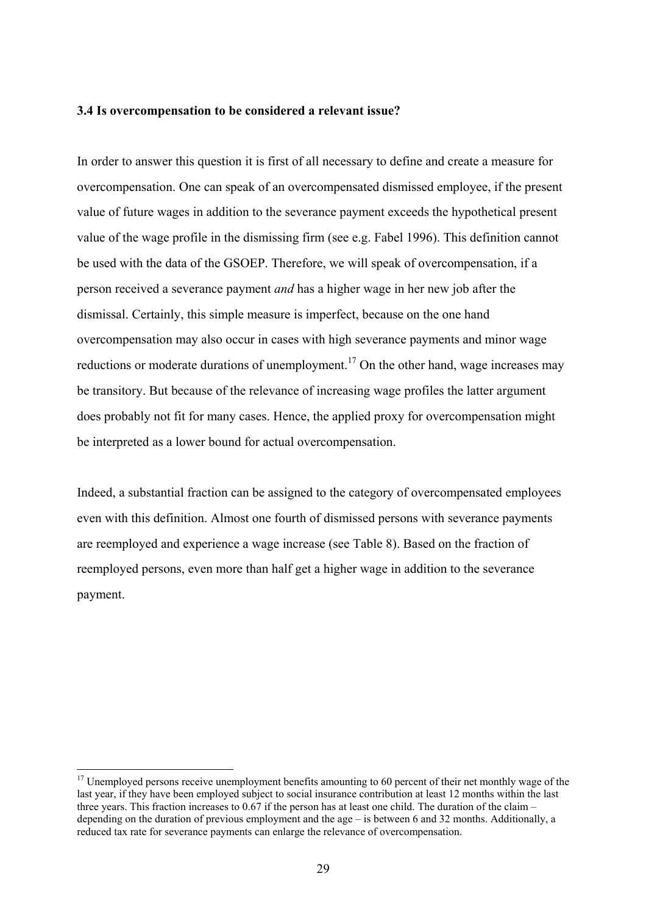#### **3.4 Is overcompensation to be considered a relevant issue?**

In order to answer this question it is first of all necessary to define and create a measure for overcompensation. One can speak of an overcompensated dismissed employee, if the present value of future wages in addition to the severance payment exceeds the hypothetical present value of the wage profile in the dismissing firm (see e.g. Fabel 1996). This definition cannot be used with the data of the GSOEP. Therefore, we will speak of overcompensation, if a person received a severance payment *and* has a higher wage in her new job after the dismissal. Certainly, this simple measure is imperfect, because on the one hand overcompensation may also occur in cases with high severance payments and minor wage reductions or moderate durations of unemployment.<sup>17</sup> On the other hand, wage increases may be transitory. But because of the relevance of increasing wage profiles the latter argument does probably not fit for many cases. Hence, the applied proxy for overcompensation might be interpreted as a lower bound for actual overcompensation.

Indeed, a substantial fraction can be assigned to the category of overcompensated employees even with this definition. Almost one fourth of dismissed persons with severance payments are reemployed and experience a wage increase (see Table 8). Based on the fraction of reemployed persons, even more than half get a higher wage in addition to the severance payment.

<sup>&</sup>lt;sup>17</sup> Unemployed persons receive unemployment benefits amounting to 60 percent of their net monthly wage of the last year, if they have been employed subject to social insurance contribution at least 12 months within the last three years. This fraction increases to 0.67 if the person has at least one child. The duration of the claim – depending on the duration of previous employment and the age – is between 6 and 32 months. Additionally, a reduced tax rate for severance payments can enlarge the relevance of overcompensation.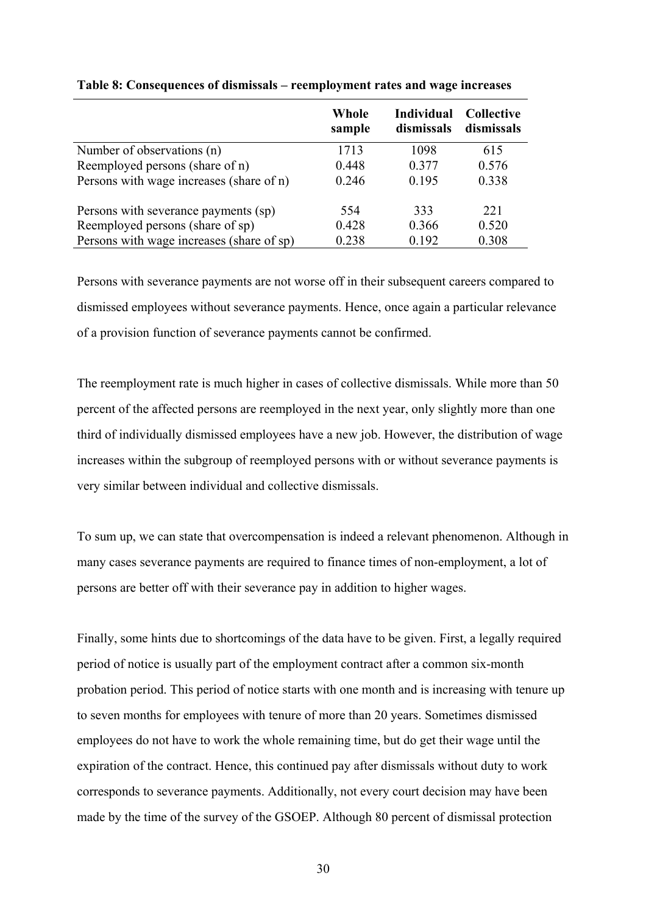|                                           | Whole<br>sample | Individual<br>dismissals | <b>Collective</b><br>dismissals |
|-------------------------------------------|-----------------|--------------------------|---------------------------------|
| Number of observations (n)                | 1713            | 1098                     | 615                             |
| Reemployed persons (share of n)           | 0.448           | 0.377                    | 0.576                           |
| Persons with wage increases (share of n)  | 0.246           | 0.195                    | 0.338                           |
| Persons with severance payments (sp)      | 554             | 333                      | 221                             |
| Reemployed persons (share of sp)          | 0.428           | 0.366                    | 0.520                           |
| Persons with wage increases (share of sp) | 0.238           | 0.192                    | 0.308                           |

#### **Table 8: Consequences of dismissals – reemployment rates and wage increases**

Persons with severance payments are not worse off in their subsequent careers compared to dismissed employees without severance payments. Hence, once again a particular relevance of a provision function of severance payments cannot be confirmed.

The reemployment rate is much higher in cases of collective dismissals. While more than 50 percent of the affected persons are reemployed in the next year, only slightly more than one third of individually dismissed employees have a new job. However, the distribution of wage increases within the subgroup of reemployed persons with or without severance payments is very similar between individual and collective dismissals.

To sum up, we can state that overcompensation is indeed a relevant phenomenon. Although in many cases severance payments are required to finance times of non-employment, a lot of persons are better off with their severance pay in addition to higher wages.

Finally, some hints due to shortcomings of the data have to be given. First, a legally required period of notice is usually part of the employment contract after a common six-month probation period. This period of notice starts with one month and is increasing with tenure up to seven months for employees with tenure of more than 20 years. Sometimes dismissed employees do not have to work the whole remaining time, but do get their wage until the expiration of the contract. Hence, this continued pay after dismissals without duty to work corresponds to severance payments. Additionally, not every court decision may have been made by the time of the survey of the GSOEP. Although 80 percent of dismissal protection

30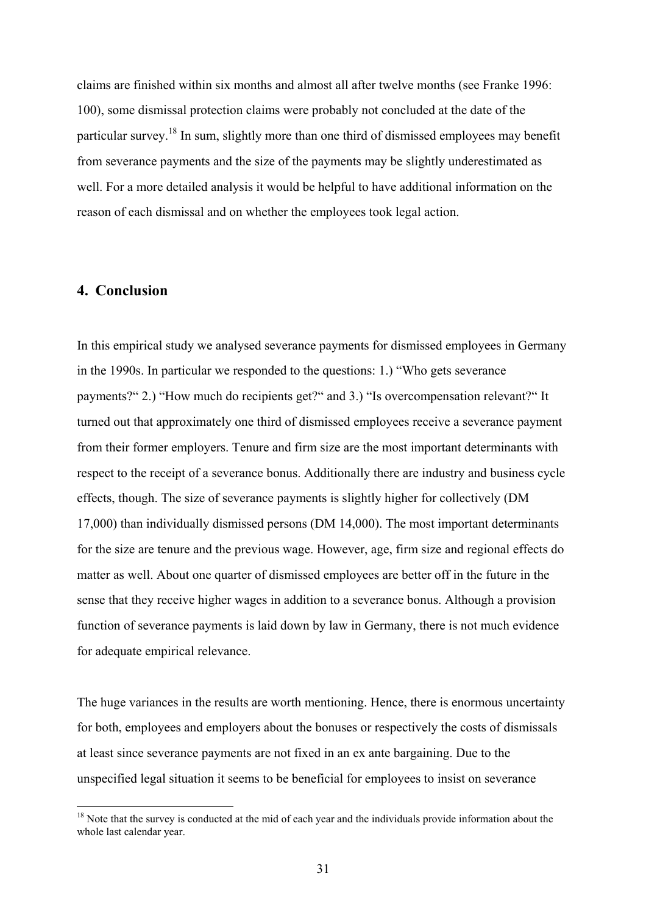claims are finished within six months and almost all after twelve months (see Franke 1996: 100), some dismissal protection claims were probably not concluded at the date of the particular survey.<sup>18</sup> In sum, slightly more than one third of dismissed employees may benefit from severance payments and the size of the payments may be slightly underestimated as well. For a more detailed analysis it would be helpful to have additional information on the reason of each dismissal and on whether the employees took legal action.

#### **4. Conclusion**

 $\overline{a}$ 

In this empirical study we analysed severance payments for dismissed employees in Germany in the 1990s. In particular we responded to the questions: 1.) "Who gets severance payments?" 2.) "How much do recipients get?" and 3.) "Is overcompensation relevant?" It turned out that approximately one third of dismissed employees receive a severance payment from their former employers. Tenure and firm size are the most important determinants with respect to the receipt of a severance bonus. Additionally there are industry and business cycle effects, though. The size of severance payments is slightly higher for collectively (DM 17,000) than individually dismissed persons (DM 14,000). The most important determinants for the size are tenure and the previous wage. However, age, firm size and regional effects do matter as well. About one quarter of dismissed employees are better off in the future in the sense that they receive higher wages in addition to a severance bonus. Although a provision function of severance payments is laid down by law in Germany, there is not much evidence for adequate empirical relevance.

The huge variances in the results are worth mentioning. Hence, there is enormous uncertainty for both, employees and employers about the bonuses or respectively the costs of dismissals at least since severance payments are not fixed in an ex ante bargaining. Due to the unspecified legal situation it seems to be beneficial for employees to insist on severance

<sup>&</sup>lt;sup>18</sup> Note that the survey is conducted at the mid of each year and the individuals provide information about the whole last calendar year.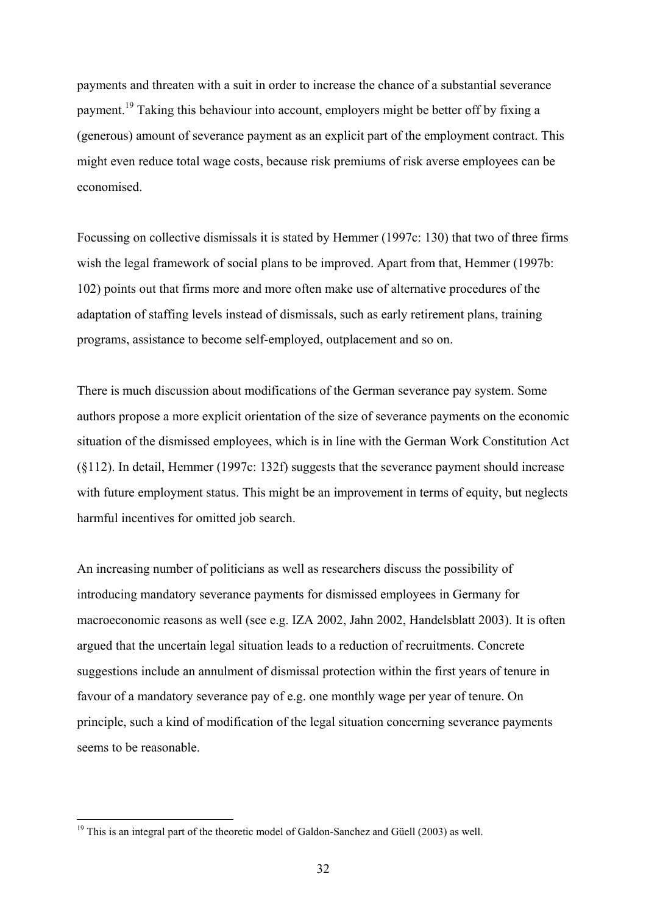payments and threaten with a suit in order to increase the chance of a substantial severance payment.19 Taking this behaviour into account, employers might be better off by fixing a (generous) amount of severance payment as an explicit part of the employment contract. This might even reduce total wage costs, because risk premiums of risk averse employees can be economised.

Focussing on collective dismissals it is stated by Hemmer (1997c: 130) that two of three firms wish the legal framework of social plans to be improved. Apart from that, Hemmer (1997b: 102) points out that firms more and more often make use of alternative procedures of the adaptation of staffing levels instead of dismissals, such as early retirement plans, training programs, assistance to become self-employed, outplacement and so on.

There is much discussion about modifications of the German severance pay system. Some authors propose a more explicit orientation of the size of severance payments on the economic situation of the dismissed employees, which is in line with the German Work Constitution Act (§112). In detail, Hemmer (1997c: 132f) suggests that the severance payment should increase with future employment status. This might be an improvement in terms of equity, but neglects harmful incentives for omitted job search.

An increasing number of politicians as well as researchers discuss the possibility of introducing mandatory severance payments for dismissed employees in Germany for macroeconomic reasons as well (see e.g. IZA 2002, Jahn 2002, Handelsblatt 2003). It is often argued that the uncertain legal situation leads to a reduction of recruitments. Concrete suggestions include an annulment of dismissal protection within the first years of tenure in favour of a mandatory severance pay of e.g. one monthly wage per year of tenure. On principle, such a kind of modification of the legal situation concerning severance payments seems to be reasonable.

 $19$  This is an integral part of the theoretic model of Galdon-Sanchez and Güell (2003) as well.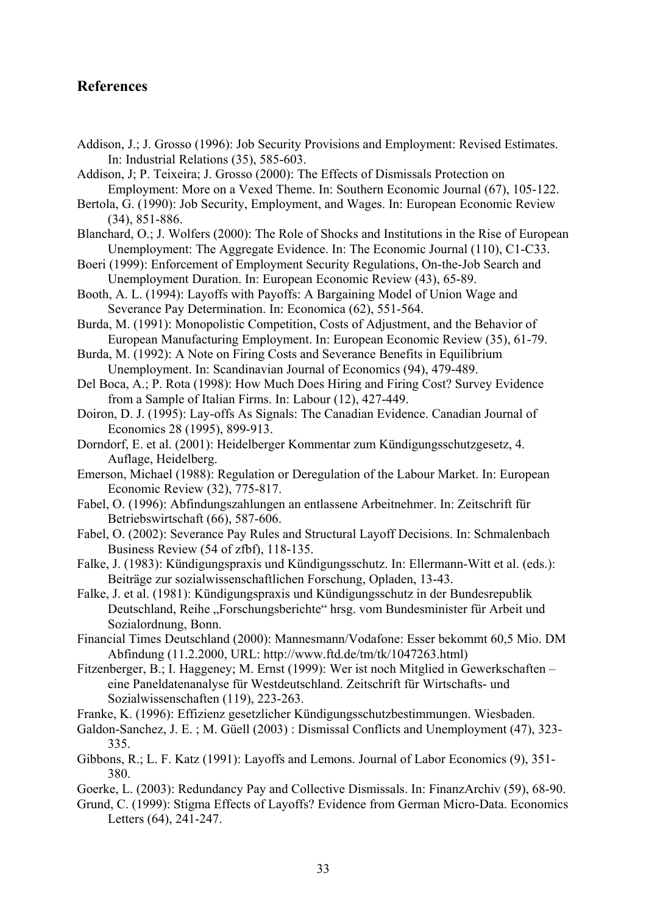#### **References**

- Addison, J.; J. Grosso (1996): Job Security Provisions and Employment: Revised Estimates. In: Industrial Relations (35), 585-603.
- Addison, J; P. Teixeira; J. Grosso (2000): The Effects of Dismissals Protection on Employment: More on a Vexed Theme. In: Southern Economic Journal (67), 105-122.
- Bertola, G. (1990): Job Security, Employment, and Wages. In: European Economic Review (34), 851-886.
- Blanchard, O.; J. Wolfers (2000): The Role of Shocks and Institutions in the Rise of European Unemployment: The Aggregate Evidence. In: The Economic Journal (110), C1-C33.
- Boeri (1999): Enforcement of Employment Security Regulations, On-the-Job Search and Unemployment Duration. In: European Economic Review (43), 65-89.
- Booth, A. L. (1994): Layoffs with Payoffs: A Bargaining Model of Union Wage and Severance Pay Determination. In: Economica (62), 551-564.
- Burda, M. (1991): Monopolistic Competition, Costs of Adjustment, and the Behavior of European Manufacturing Employment. In: European Economic Review (35), 61-79.
- Burda, M. (1992): A Note on Firing Costs and Severance Benefits in Equilibrium Unemployment. In: Scandinavian Journal of Economics (94), 479-489.
- Del Boca, A.; P. Rota (1998): How Much Does Hiring and Firing Cost? Survey Evidence from a Sample of Italian Firms. In: Labour (12), 427-449.
- Doiron, D. J. (1995): Lay-offs As Signals: The Canadian Evidence. Canadian Journal of Economics 28 (1995), 899-913.
- Dorndorf, E. et al. (2001): Heidelberger Kommentar zum Kündigungsschutzgesetz, 4. Auflage, Heidelberg.
- Emerson, Michael (1988): Regulation or Deregulation of the Labour Market. In: European Economic Review (32), 775-817.
- Fabel, O. (1996): Abfindungszahlungen an entlassene Arbeitnehmer. In: Zeitschrift für Betriebswirtschaft (66), 587-606.
- Fabel, O. (2002): Severance Pay Rules and Structural Layoff Decisions. In: Schmalenbach Business Review (54 of zfbf), 118-135.
- Falke, J. (1983): Kündigungspraxis und Kündigungsschutz. In: Ellermann-Witt et al. (eds.): Beiträge zur sozialwissenschaftlichen Forschung, Opladen, 13-43.
- Falke, J. et al. (1981): Kündigungspraxis und Kündigungsschutz in der Bundesrepublik Deutschland, Reihe "Forschungsberichte" hrsg. vom Bundesminister für Arbeit und Sozialordnung, Bonn.
- Financial Times Deutschland (2000): Mannesmann/Vodafone: Esser bekommt 60,5 Mio. DM Abfindung (11.2.2000, URL: http://www.ftd.de/tm/tk/1047263.html)
- Fitzenberger, B.; I. Haggeney; M. Ernst (1999): Wer ist noch Mitglied in Gewerkschaften eine Paneldatenanalyse für Westdeutschland. Zeitschrift für Wirtschafts- und Sozialwissenschaften (119), 223-263.
- Franke, K. (1996): Effizienz gesetzlicher Kündigungsschutzbestimmungen. Wiesbaden.
- Galdon-Sanchez, J. E. ; M. Güell (2003) : Dismissal Conflicts and Unemployment (47), 323- 335.
- Gibbons, R.; L. F. Katz (1991): Layoffs and Lemons. Journal of Labor Economics (9), 351- 380.
- Goerke, L. (2003): Redundancy Pay and Collective Dismissals. In: FinanzArchiv (59), 68-90.
- Grund, C. (1999): Stigma Effects of Layoffs? Evidence from German Micro-Data. Economics Letters (64), 241-247.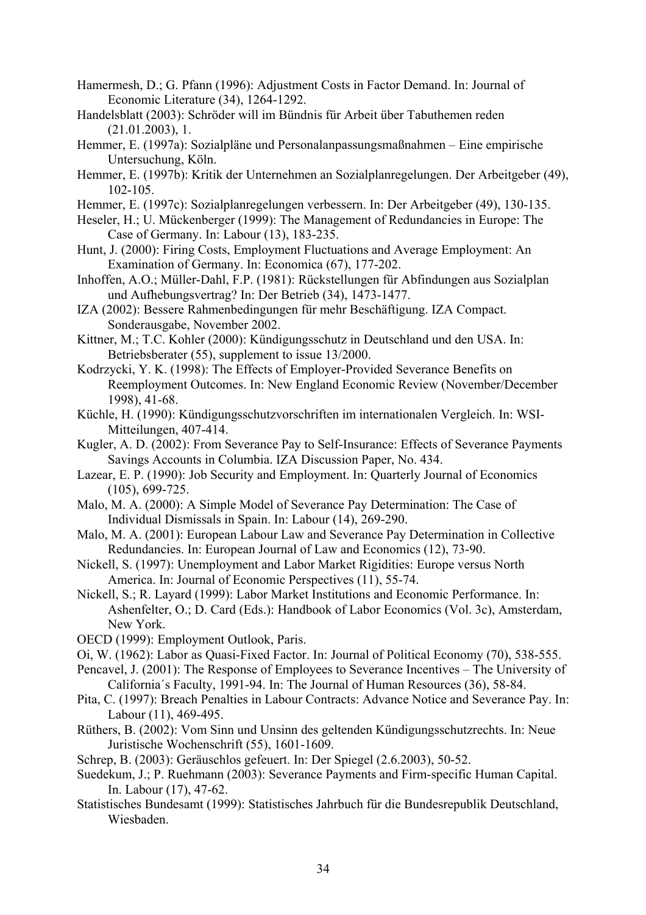- Hamermesh, D.; G. Pfann (1996): Adjustment Costs in Factor Demand. In: Journal of Economic Literature (34), 1264-1292.
- Handelsblatt (2003): Schröder will im Bündnis für Arbeit über Tabuthemen reden (21.01.2003), 1.
- Hemmer, E. (1997a): Sozialpläne und Personalanpassungsmaßnahmen Eine empirische Untersuchung, Köln.
- Hemmer, E. (1997b): Kritik der Unternehmen an Sozialplanregelungen. Der Arbeitgeber (49), 102-105.
- Hemmer, E. (1997c): Sozialplanregelungen verbessern. In: Der Arbeitgeber (49), 130-135.
- Heseler, H.; U. Mückenberger (1999): The Management of Redundancies in Europe: The Case of Germany. In: Labour (13), 183-235.
- Hunt, J. (2000): Firing Costs, Employment Fluctuations and Average Employment: An Examination of Germany. In: Economica (67), 177-202.
- Inhoffen, A.O.; Müller-Dahl, F.P. (1981): Rückstellungen für Abfindungen aus Sozialplan und Aufhebungsvertrag? In: Der Betrieb (34), 1473-1477.
- IZA (2002): Bessere Rahmenbedingungen für mehr Beschäftigung. IZA Compact. Sonderausgabe, November 2002.
- Kittner, M.; T.C. Kohler (2000): Kündigungsschutz in Deutschland und den USA. In: Betriebsberater (55), supplement to issue 13/2000.
- Kodrzycki, Y. K. (1998): The Effects of Employer-Provided Severance Benefits on Reemployment Outcomes. In: New England Economic Review (November/December 1998), 41-68.
- Küchle, H. (1990): Kündigungsschutzvorschriften im internationalen Vergleich. In: WSI-Mitteilungen, 407-414.
- Kugler, A. D. (2002): From Severance Pay to Self-Insurance: Effects of Severance Payments Savings Accounts in Columbia. IZA Discussion Paper, No. 434.
- Lazear, E. P. (1990): Job Security and Employment. In: Quarterly Journal of Economics (105), 699-725.
- Malo, M. A. (2000): A Simple Model of Severance Pay Determination: The Case of Individual Dismissals in Spain. In: Labour (14), 269-290.
- Malo, M. A. (2001): European Labour Law and Severance Pay Determination in Collective Redundancies. In: European Journal of Law and Economics (12), 73-90.
- Nickell, S. (1997): Unemployment and Labor Market Rigidities: Europe versus North America. In: Journal of Economic Perspectives (11), 55-74.
- Nickell, S.; R. Layard (1999): Labor Market Institutions and Economic Performance. In: Ashenfelter, O.; D. Card (Eds.): Handbook of Labor Economics (Vol. 3c), Amsterdam, New York.
- OECD (1999): Employment Outlook, Paris.
- Oi, W. (1962): Labor as Quasi-Fixed Factor. In: Journal of Political Economy (70), 538-555.
- Pencavel, J. (2001): The Response of Employees to Severance Incentives The University of California´s Faculty, 1991-94. In: The Journal of Human Resources (36), 58-84.
- Pita, C. (1997): Breach Penalties in Labour Contracts: Advance Notice and Severance Pay. In: Labour (11), 469-495.
- Rüthers, B. (2002): Vom Sinn und Unsinn des geltenden Kündigungsschutzrechts. In: Neue Juristische Wochenschrift (55), 1601-1609.
- Schrep, B. (2003): Geräuschlos gefeuert. In: Der Spiegel (2.6.2003), 50-52.
- Suedekum, J.; P. Ruehmann (2003): Severance Payments and Firm-specific Human Capital. In. Labour (17), 47-62.
- Statistisches Bundesamt (1999): Statistisches Jahrbuch für die Bundesrepublik Deutschland, Wiesbaden.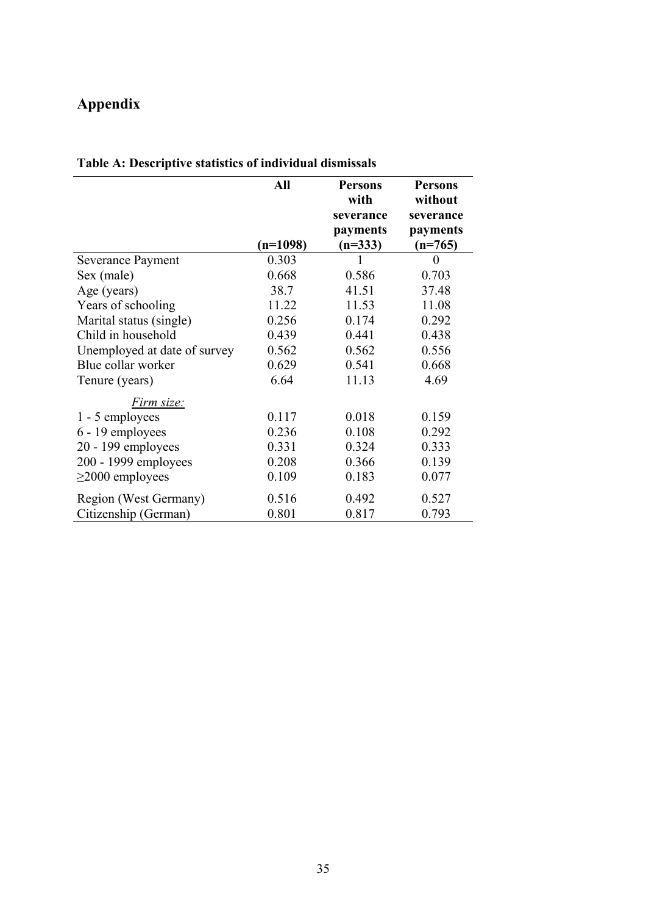## **Appendix**

|                              | All        | <b>Persons</b> | <b>Persons</b> |
|------------------------------|------------|----------------|----------------|
|                              |            | with           | without        |
|                              |            | severance      | severance      |
|                              |            | payments       | payments       |
|                              | $(n=1098)$ | $(n=333)$      | $(n=765)$      |
| <b>Severance Payment</b>     | 0.303      | 1              | 0              |
| Sex (male)                   | 0.668      | 0.586          | 0.703          |
| Age (years)                  | 38.7       | 41.51          | 37.48          |
| Years of schooling           | 11.22      | 11.53          | 11.08          |
| Marital status (single)      | 0.256      | 0.174          | 0.292          |
| Child in household           | 0.439      | 0.441          | 0.438          |
| Unemployed at date of survey | 0.562      | 0.562          | 0.556          |
| Blue collar worker           | 0.629      | 0.541          | 0.668          |
| Tenure (years)               | 6.64       | 11.13          | 4.69           |
| Firm size:                   |            |                |                |
| 1 - 5 employees              | 0.117      | 0.018          | 0.159          |
| 6 - 19 employees             | 0.236      | 0.108          | 0.292          |
| $20 - 199$ employees         | 0.331      | 0.324          | 0.333          |
| 200 - 1999 employees         | 0.208      | 0.366          | 0.139          |
| $\geq$ 2000 employees        | 0.109      | 0.183          | 0.077          |
| Region (West Germany)        | 0.516      | 0.492          | 0.527          |
| Citizenship (German)         | 0.801      | 0.817          | 0.793          |

## **Table A: Descriptive statistics of individual dismissals**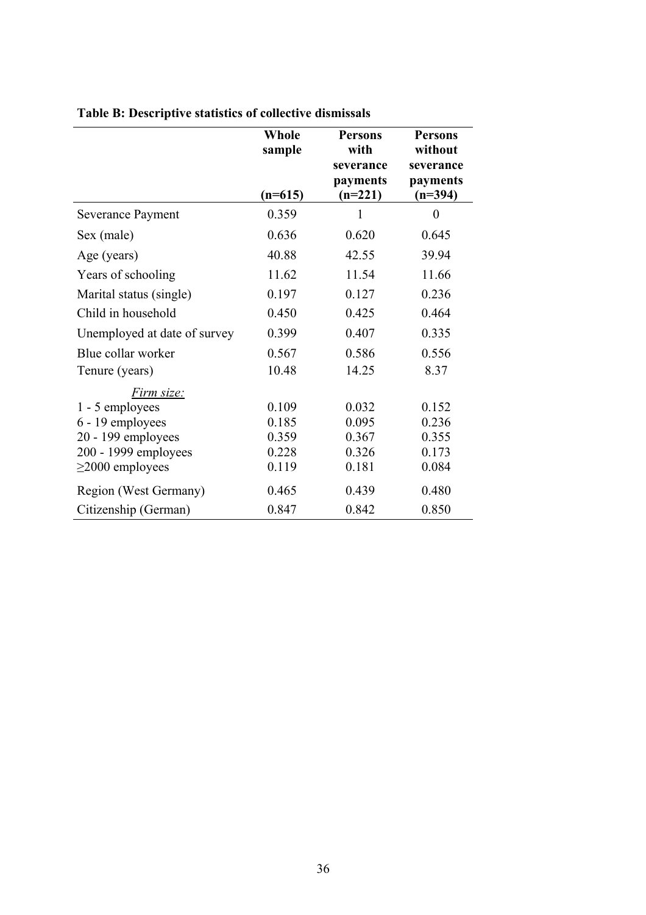|                              | Whole<br>sample<br>$(n=615)$ | <b>Persons</b><br>with<br>severance<br>payments<br>$(n=221)$ | <b>Persons</b><br>without<br>severance<br>payments<br>$(n=394)$ |
|------------------------------|------------------------------|--------------------------------------------------------------|-----------------------------------------------------------------|
| Severance Payment            | 0.359                        | 1                                                            | $\theta$                                                        |
| Sex (male)                   | 0.636                        | 0.620                                                        | 0.645                                                           |
| Age (years)                  | 40.88                        | 42.55                                                        | 39.94                                                           |
| Years of schooling           | 11.62                        | 11.54                                                        | 11.66                                                           |
| Marital status (single)      | 0.197                        | 0.127                                                        | 0.236                                                           |
| Child in household           | 0.450                        | 0.425                                                        | 0.464                                                           |
| Unemployed at date of survey | 0.399                        | 0.407                                                        | 0.335                                                           |
| Blue collar worker           | 0.567                        | 0.586                                                        | 0.556                                                           |
| Tenure (years)               | 10.48                        | 14.25                                                        | 8.37                                                            |
| Firm size:                   |                              |                                                              |                                                                 |
| 1 - 5 employees              | 0.109                        | 0.032                                                        | 0.152                                                           |
| 6 - 19 employees             | 0.185                        | 0.095                                                        | 0.236                                                           |
| 20 - 199 employees           | 0.359                        | 0.367                                                        | 0.355                                                           |
| 200 - 1999 employees         | 0.228                        | 0.326                                                        | 0.173                                                           |
| $\geq$ 2000 employees        | 0.119                        | 0.181                                                        | 0.084                                                           |
| Region (West Germany)        | 0.465                        | 0.439                                                        | 0.480                                                           |
| Citizenship (German)         | 0.847                        | 0.842                                                        | 0.850                                                           |

## **Table B: Descriptive statistics of collective dismissals**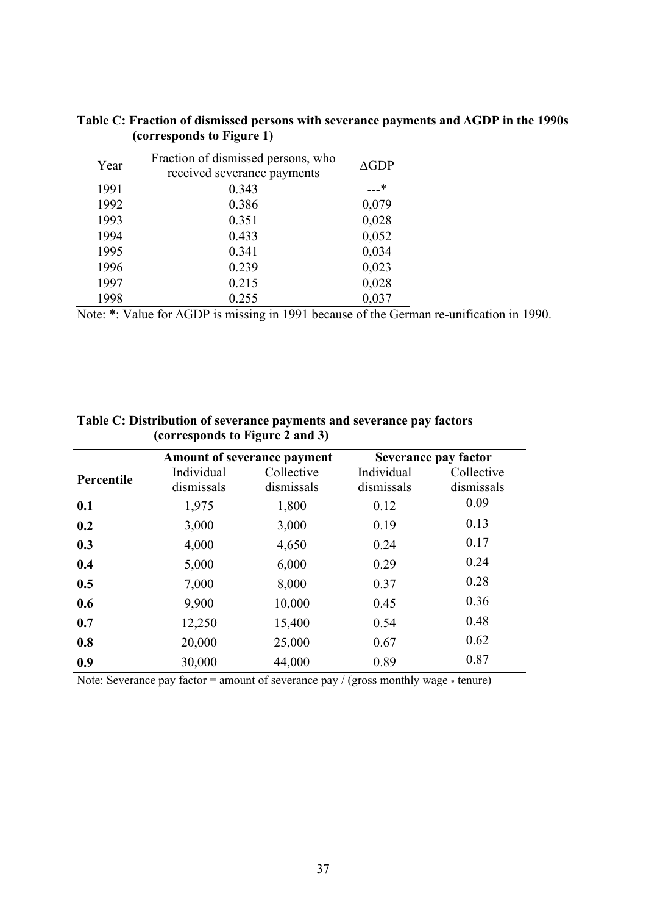| Year | Fraction of dismissed persons, who<br>received severance payments | $\triangle$ GDP |
|------|-------------------------------------------------------------------|-----------------|
| 1991 | 0.343                                                             | …*              |
| 1992 | 0.386                                                             | 0,079           |
| 1993 | 0.351                                                             | 0,028           |
| 1994 | 0.433                                                             | 0,052           |
| 1995 | 0.341                                                             | 0,034           |
| 1996 | 0.239                                                             | 0,023           |
| 1997 | 0.215                                                             | 0,028           |
| 1998 | 0.255                                                             | 0,037           |

**Table C: Fraction of dismissed persons with severance payments and ∆GDP in the 1990s (corresponds to Figure 1)** 

Note: \*: Value for ∆GDP is missing in 1991 because of the German re-unification in 1990.

| Table C: Distribution of severance payments and severance pay factors |  |
|-----------------------------------------------------------------------|--|
| (corresponds to Figure 2 and 3)                                       |  |

|            | <b>Amount of severance payment</b> |                          | Severance pay factor        |                          |
|------------|------------------------------------|--------------------------|-----------------------------|--------------------------|
| Percentile | Individual<br>dismissals           | Collective<br>dismissals | Individual<br>dismissals    | Collective<br>dismissals |
| 0.1        | 1,975                              | 1,800                    | 0.12                        | 0.09                     |
| 0.2        | 3,000                              | 3,000                    | 0.19                        | 0.13                     |
| 0.3        | 4,000                              | 4,650                    | 0.24                        | 0.17                     |
| 0.4        | 5,000                              | 6,000                    | 0.29                        | 0.24                     |
| 0.5        | 7,000                              | 8,000                    | 0.37                        | 0.28                     |
| 0.6        | 9,900                              | 10,000                   | 0.45                        | 0.36                     |
| 0.7        | 12,250                             | 15,400                   | 0.54                        | 0.48                     |
| 0.8        | 20,000                             | 25,000                   | 0.67                        | 0.62                     |
| 0.9        | 30,000                             | 44,000                   | 0.89                        | 0.87                     |
|            | $\sim$                             | $\sim$                   | $\epsilon$<br>$\sim$ $\sim$ |                          |

Note: Severance pay factor = amount of severance pay / (gross monthly wage  $*$  tenure)